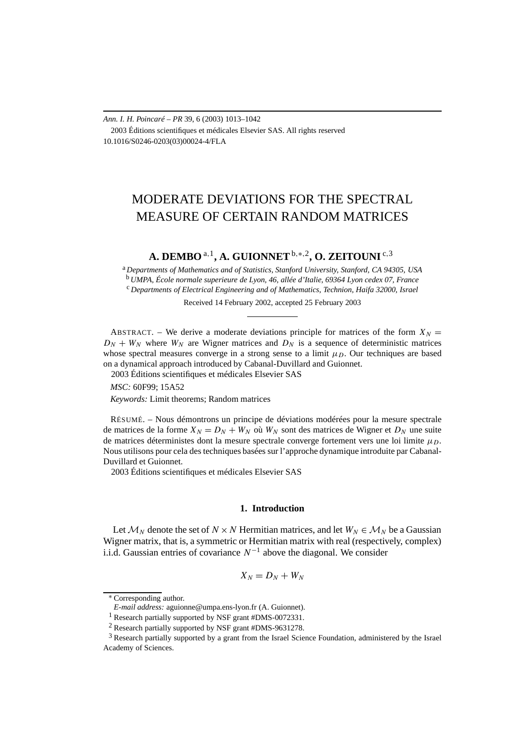## *Ann. I. H. Poincaré – PR* 39, 6 (2003) 1013–1042 2003 Éditions scientifiques et médicales Elsevier SAS. All rights reserved 10.1016/S0246-0203(03)00024-4/FLA

# MODERATE DEVIATIONS FOR THE SPECTRAL MEASURE OF CERTAIN RANDOM MATRICES

## **A. DEMBO** <sup>a</sup>*,*1**, A. GUIONNET**b*,*∗*,*2**, O. ZEITOUNI** <sup>c</sup>*,*<sup>3</sup>

<sup>a</sup> *Departments of Mathematics and of Statistics, Stanford University, Stanford, CA 94305, USA* <sup>b</sup> *UMPA, École normale superieure de Lyon, 46, allée d'Italie, 69364 Lyon cedex 07, France* <sup>c</sup> *Departments of Electrical Engineering and of Mathematics, Technion, Haifa 32000, Israel*

Received 14 February 2002, accepted 25 February 2003

ABSTRACT. – We derive a moderate deviations principle for matrices of the form  $X_N =$  $D_N + W_N$  where  $W_N$  are Wigner matrices and  $D_N$  is a sequence of deterministic matrices whose spectral measures converge in a strong sense to a limit  $\mu_D$ . Our techniques are based on a dynamical approach introduced by Cabanal-Duvillard and Guionnet.

2003 Éditions scientifiques et médicales Elsevier SAS

*MSC:* 60F99; 15A52

*Keywords:* Limit theorems; Random matrices

RÉSUMÉ. – Nous démontrons un principe de déviations modérées pour la mesure spectrale de matrices de la forme  $X_N = D_N + W_N$  où  $W_N$  sont des matrices de Wigner et  $D_N$  une suite de matrices déterministes dont la mesure spectrale converge fortement vers une loi limite  $\mu_D$ . Nous utilisons pour cela des techniques basées sur l'approche dynamique introduite par Cabanal-Duvillard et Guionnet.

2003 Éditions scientifiques et médicales Elsevier SAS

## **1. Introduction**

Let  $M_N$  denote the set of  $N \times N$  Hermitian matrices, and let  $W_N \in M_N$  be a Gaussian Wigner matrix, that is, a symmetric or Hermitian matrix with real (respectively, complex) i.i.d. Gaussian entries of covariance *N*<sup>−</sup><sup>1</sup> above the diagonal. We consider

$$
X_N=D_N+W_N
$$

<sup>∗</sup> Corresponding author.

*E-mail address:* aguionne@umpa.ens-lyon.fr (A. Guionnet).

<sup>1</sup> Research partially supported by NSF grant #DMS-0072331.

<sup>2</sup> Research partially supported by NSF grant #DMS-9631278.

 $3$  Research partially supported by a grant from the Israel Science Foundation, administered by the Israel Academy of Sciences.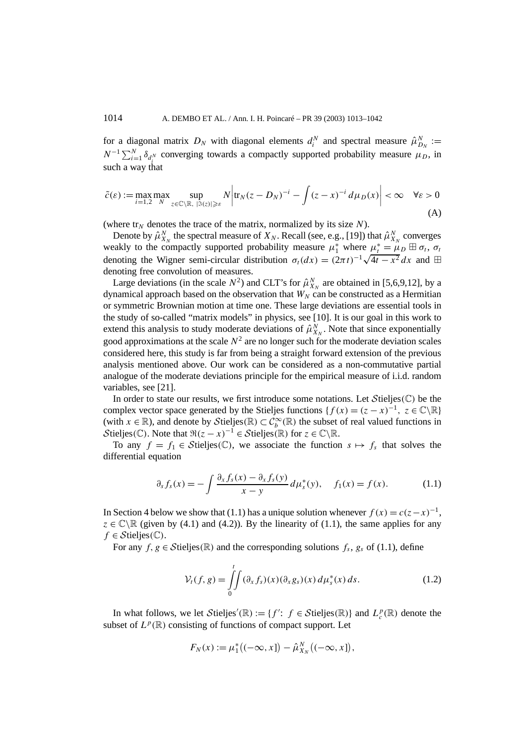for a diagonal matrix  $D_N$  with diagonal elements  $d_i^N$  and spectral measure  $\hat{\mu}_{D_N}^N :=$  $N^{-1} \sum_{i=1}^{N} \delta_{d_i^N}$  converging towards a compactly supported probability measure  $\mu_D$ , in such a way that

$$
\tilde{c}(\varepsilon) := \max_{i=1,2} \max_{N} \sup_{z \in \mathbb{C} \setminus \mathbb{R}, \ |\Im(z)| \geq \varepsilon} N \left| \text{tr}_N (z - D_N)^{-i} - \int (z - x)^{-i} \, d\mu_D(x) \right| < \infty \quad \forall \varepsilon > 0
$$
\n(A)

(where  $tr_N$  denotes the trace of the matrix, normalized by its size  $N$ ).

Denote by  $\hat{\mu}_{X_N}^N$  the spectral measure of  $X_N$ . Recall (see, e.g., [19]) that  $\hat{\mu}_{X_N}^N$  converges weakly to the compactly supported probability measure  $\mu_1^*$  where  $\mu_t^* = \mu_D \boxplus \sigma_t$ ,  $\sigma_t$ weakly to the compactly supported probability measure  $\mu_1$  where  $\mu_t = \mu_D \oplus \sigma_t$ ,  $\sigma_t$ <br>denoting the Wigner semi-circular distribution  $\sigma_t(dx) = (2\pi t)^{-1}\sqrt{4t - x^2} dx$  and  $\boxplus$ denoting free convolution of measures.

Large deviations (in the scale  $N^2$ ) and CLT's for  $\hat{\mu}_{X_N}^N$  are obtained in [5,6,9,12], by a dynamical approach based on the observation that  $W_N$  can be constructed as a Hermitian or symmetric Brownian motion at time one. These large deviations are essential tools in the study of so-called "matrix models" in physics, see [10]. It is our goal in this work to extend this analysis to study moderate deviations of  $\hat{\mu}_{X_N}^N$ . Note that since exponentially good approximations at the scale  $N^2$  are no longer such for the moderate deviation scales considered here, this study is far from being a straight forward extension of the previous analysis mentioned above. Our work can be considered as a non-commutative partial analogue of the moderate deviations principle for the empirical measure of i.i.d. random variables, see [21].

In order to state our results, we first introduce some notations. Let  $Stieljes(\mathbb{C})$  be the complex vector space generated by the Stieljes functions { $f(x) = (z - x)^{-1}$ ,  $z \in \mathbb{C} \setminus \mathbb{R}$ } (with  $x \in \mathbb{R}$ ), and denote by Stieljes( $\mathbb{R}$ )  $\subset C_b^{\infty}(\mathbb{R})$  the subset of real valued functions in Stieljes( $\mathbb{C}$ ). Note that  $\Re(z-x)^{-1} \in \mathcal{S}$ tieljes( $\mathbb{R}$ ) for  $z \in \mathbb{C} \backslash \mathbb{R}$ .

To any  $f = f_1 \in \text{Stieljes}(\mathbb{C})$ , we associate the function  $s \mapsto f_s$  that solves the differential equation

$$
\partial_s f_s(x) = -\int \frac{\partial_x f_s(x) - \partial_x f_s(y)}{x - y} d\mu_s^*(y), \quad f_1(x) = f(x). \tag{1.1}
$$

In Section 4 below we show that (1.1) has a unique solution whenever  $f(x) = c(z-x)^{-1}$ ,  $z \in \mathbb{C} \backslash \mathbb{R}$  (given by (4.1) and (4.2)). By the linearity of (1.1), the same applies for any  $f \in \mathcal{S}$ tieljes $(\mathbb{C})$ .

For any  $f, g \in \mathcal{S}$ tieljes $(\mathbb{R})$  and the corresponding solutions  $f_s, g_s$  of (1.1), define

$$
\mathcal{V}_t(f,g) = \iint\limits_0^t (\partial_x f_s)(x) (\partial_x g_s)(x) d\mu_s^*(x) ds.
$$
 (1.2)

In what follows, we let  $Stieljes'(\mathbb{R}) := \{f' : f \in Stieljes(\mathbb{R})\}$  and  $L_c^p(\mathbb{R})$  denote the subset of  $L^p(\mathbb{R})$  consisting of functions of compact support. Let

$$
F_N(x) := \mu_1^* ((-\infty, x]) - \hat{\mu}_{X_N}^N ((-\infty, x]),
$$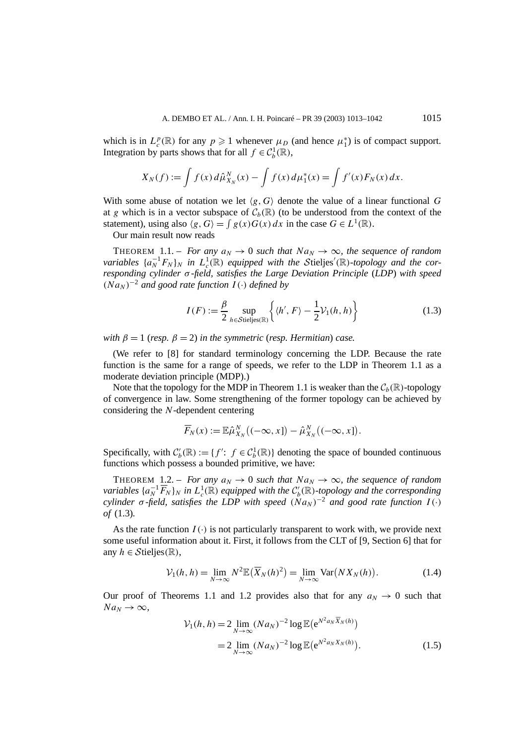which is in  $L_c^p(\mathbb{R})$  for any  $p \geq 1$  whenever  $\mu_D$  (and hence  $\mu_1^*$ ) is of compact support. Integration by parts shows that for all  $f \in C_b^1(\mathbb{R})$ ,

$$
X_N(f) := \int f(x) \, d\hat{\mu}_{X_N}^N(x) - \int f(x) \, d\mu_1^*(x) = \int f'(x) F_N(x) \, dx.
$$

With some abuse of notation we let  $\langle g, G \rangle$  denote the value of a linear functional G at *g* which is in a vector subspace of  $C_b(\mathbb{R})$  (to be understood from the context of the statement), using also  $\langle g, G \rangle = \int g(x)G(x) dx$  in the case  $G \in L^1(\mathbb{R})$ .

Our main result now reads

THEOREM 1.1. – *For any*  $a_N \to 0$  *such that*  $Na_N \to \infty$ *, the sequence of random variables*  $\{a_N^{-1}F_N\}$ *N in*  $L_c^1(\mathbb{R})$  *equipped with the Stieljes'*( $\mathbb{R}$ *)-topology and the corresponding cylinder σ -field, satisfies the Large Deviation Principle* (*LDP*) *with speed*  $(Na_N)^{-2}$  *and good rate function*  $I(\cdot)$  *defined by* 

$$
I(F) := \frac{\beta}{2} \sup_{h \in \text{Stieljes}(\mathbb{R})} \left\{ \langle h', F \rangle - \frac{1}{2} \mathcal{V}_1(h, h) \right\} \tag{1.3}
$$

*with*  $\beta = 1$  (*resp.*  $\beta = 2$ ) *in the symmetric* (*resp. Hermitian*) *case.* 

(We refer to [8] for standard terminology concerning the LDP. Because the rate function is the same for a range of speeds, we refer to the LDP in Theorem 1.1 as a moderate deviation principle (MDP).)

Note that the topology for the MDP in Theorem 1.1 is weaker than the  $C_b(\mathbb{R})$ -topology of convergence in law. Some strengthening of the former topology can be achieved by considering the *N*-dependent centering

$$
\overline{F}_N(x) := \mathbb{E}\hat{\mu}_{X_N}^N((-\infty, x]) - \hat{\mu}_{X_N}^N((-\infty, x]).
$$

Specifically, with  $C'_b(\mathbb{R}) := \{f' : f \in C_b^1(\mathbb{R})\}$  denoting the space of bounded continuous functions which possess a bounded primitive, we have:

THEOREM 1.2. – *For any*  $a_N \to 0$  *such that*  $Na_N \to \infty$ *, the sequence of random variables*  $\{a_N^{-1} \overline{F}_N\}_N$  *in*  $L_c^1(\mathbb{R})$  *equipped with the*  $C'_b(\mathbb{R})$ *-topology and the corresponding cylinder*  $\sigma$  *-field, satisfies the LDP with speed*  $(Na_N)^{-2}$  *and good rate function*  $I(\cdot)$ *of* (1.3)*.*

As the rate function  $I(\cdot)$  is not particularly transparent to work with, we provide next some useful information about it. First, it follows from the CLT of [9, Section 6] that for any  $h \in \mathcal{S}$ tieljes $(\mathbb{R}),$ 

$$
\mathcal{V}_1(h, h) = \lim_{N \to \infty} N^2 \mathbb{E}(\overline{X}_N(h)^2) = \lim_{N \to \infty} \text{Var}(NX_N(h)). \tag{1.4}
$$

Our proof of Theorems 1.1 and 1.2 provides also that for any  $a_N \to 0$  such that  $Na_N \rightarrow \infty$ ,

$$
\mathcal{V}_1(h, h) = 2 \lim_{N \to \infty} (N a_N)^{-2} \log \mathbb{E} (e^{N^2 a_N \overline{X}_N(h)})
$$
  
= 2 \lim\_{N \to \infty} (N a\_N)^{-2} \log \mathbb{E} (e^{N^2 a\_N X\_N(h)}). (1.5)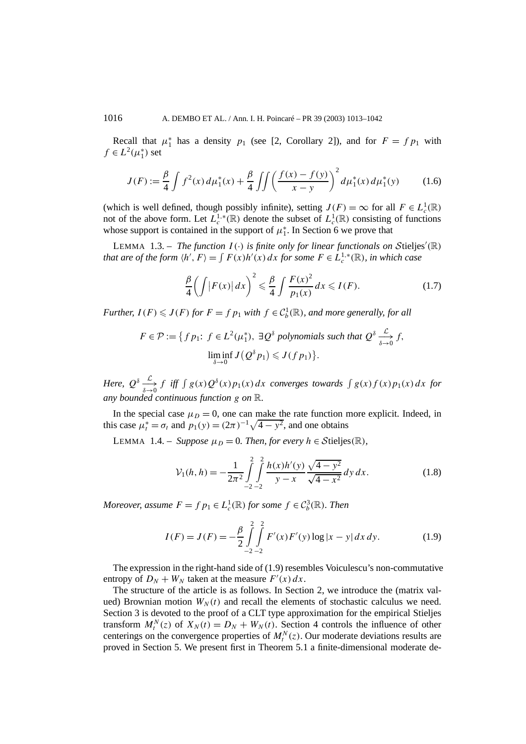Recall that  $\mu_1^*$  has a density  $p_1$  (see [2, Corollary 2]), and for  $F = f p_1$  with  $f \in L^2(\mu_1^*)$  set

$$
J(F) := \frac{\beta}{4} \int f^2(x) d\mu_1^*(x) + \frac{\beta}{4} \iint \left( \frac{f(x) - f(y)}{x - y} \right)^2 d\mu_1^*(x) d\mu_1^*(y) \tag{1.6}
$$

(which is well defined, though possibly infinite), setting  $J(F) = \infty$  for all  $F \in L_c^1(\mathbb{R})$ not of the above form. Let  $L_c^{1,*}(\mathbb{R})$  denote the subset of  $L_c^1(\mathbb{R})$  consisting of functions whose support is contained in the support of  $\mu_1^*$ . In Section 6 we prove that

LEMMA 1.3. – *The function I*( $\cdot$ ) *is finite only for linear functionals on Stieljes'*( $\mathbb{R}$ ) *that are of the form*  $\langle h', F \rangle = \int F(x)h'(x) dx$  *for some*  $F \in L_c^{1,*}(\mathbb{R})$ *, in which case* 

$$
\frac{\beta}{4}\left(\int |F(x)|\,dx\right)^2 \leq \frac{\beta}{4}\int \frac{F(x)^2}{p_1(x)}\,dx \leqslant I(F). \tag{1.7}
$$

*Further,*  $I(F) \leqslant J(F)$  *for*  $F = f p_1$  *with*  $f \in C_b^1(\mathbb{R})$ *, and more generally, for all* 

$$
F \in \mathcal{P} := \{ f \, p_1: \ f \in L^2(\mu_1^*), \ \exists \mathcal{Q}^\delta \text{ polynomials such that } \mathcal{Q}^\delta \xrightarrow[\delta \to 0]{\mathcal{L}} f,
$$

$$
\liminf_{\delta \to 0} J(\mathcal{Q}^\delta p_1) \leqslant J(f \, p_1) \}.
$$

*Here,*  $Q^{\delta} \xrightarrow[\delta \to 0]{} f$  *iff*  $\int g(x)Q^{\delta}(x)p_1(x) dx$  converges towards  $\int g(x)f(x)p_1(x) dx$  *for any bounded continuous function g on* R*.*

In the special case  $\mu_D = 0$ , one can make the rate function more explicit. Indeed, in this case  $\mu_t^* = \sigma_t$  and  $p_1(y) = (2\pi)^{-1}\sqrt{4 - y^2}$ , and one obtains

LEMMA 1.4. – *Suppose*  $\mu_D = 0$ *. Then, for every*  $h \in \mathcal{S}$ tieljes $(\mathbb{R})$ *,* 

$$
\mathcal{V}_1(h, h) = -\frac{1}{2\pi^2} \int_{-2}^{2} \int_{-2}^{2} \frac{h(x)h'(y)}{y - x} \frac{\sqrt{4 - y^2}}{\sqrt{4 - x^2}} dy dx.
$$
 (1.8)

*Moreover, assume*  $F = f p_1 \in L_c^1(\mathbb{R})$  *for some*  $f \in C_b^3(\mathbb{R})$ *. Then* 

$$
I(F) = J(F) = -\frac{\beta}{2} \int_{-2}^{2} \int_{-2}^{2} F'(x) F'(y) \log|x - y| dx dy.
$$
 (1.9)

The expression in the right-hand side of (1.9) resembles Voiculescu's non-commutative entropy of  $D_N + W_N$  taken at the measure  $F'(x) dx$ .

The structure of the article is as follows. In Section 2, we introduce the (matrix valued) Brownian motion  $W_N(t)$  and recall the elements of stochastic calculus we need. Section 3 is devoted to the proof of a CLT type approximation for the empirical Stieljes transform  $M_t^N(z)$  of  $X_N(t) = D_N + W_N(t)$ . Section 4 controls the influence of other centerings on the convergence properties of  $M_t^N(z)$ . Our moderate deviations results are proved in Section 5. We present first in Theorem 5.1 a finite-dimensional moderate de-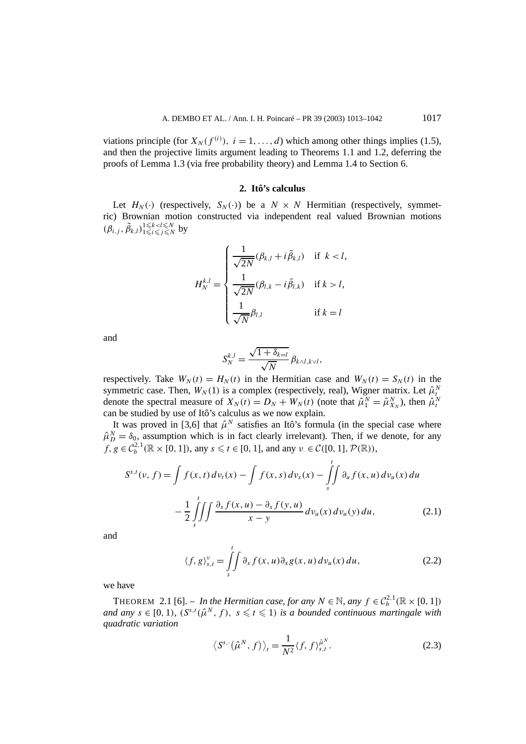viations principle (for  $X_N(f^{(i)})$ ,  $i = 1, ..., d$ ) which among other things implies (1.5), and then the projective limits argument leading to Theorems 1.1 and 1.2, deferring the proofs of Lemma 1.3 (via free probability theory) and Lemma 1.4 to Section 6.

## **2. Itô's calculus**

Let  $H_N(\cdot)$  (respectively,  $S_N(\cdot)$ ) be a  $N \times N$  Hermitian (respectively, symmetric) Brownian motion constructed via independent real valued Brownian motions  $(\beta_{i,j}, \tilde{\beta}_{k,l})_{1 \leq i \leq j \leq N}^{1 \leq k < l \leq N}$  $\sum_{1 \leq i \leq j \leq N}^{1 \leq k < l \leq N}$  by

$$
H_N^{k,l} = \begin{cases} \frac{1}{\sqrt{2N}}(\beta_{k,l} + i\tilde{\beta}_{k,l}) & \text{if } k < l, \\ \frac{1}{\sqrt{2N}}(\beta_{l,k} - i\tilde{\beta}_{l,k}) & \text{if } k > l, \\ \frac{1}{\sqrt{N}}\beta_{l,l} & \text{if } k = l \end{cases}
$$

and

$$
S_N^{k,l} = \frac{\sqrt{1 + \delta_{k-l}}}{\sqrt{N}} \beta_{k \wedge l, k \vee l},
$$

respectively. Take  $W_N(t) = H_N(t)$  in the Hermitian case and  $W_N(t) = S_N(t)$  in the symmetric case. Then,  $W_N(1)$  is a complex (respectively, real), Wigner matrix. Let  $\hat{\mu}_t^N$ denote the spectral measure of  $X_N(t) = D_N + W_N(t)$  (note that  $\hat{\mu}_1^N = \hat{\mu}_{X_N}^N$ ), then  $\hat{\mu}_t^N$  can be studied by use of Itô's calculus as we now explain.

It was proved in [3,6] that  $\hat{\mu}^N$  satisfies an Itô's formula (in the special case where  $\hat{\mu}_D^N = \delta_0$ , assumption which is in fact clearly irrelevant). Then, if we denote, for any  $f, g \in C_b^{2,1}(\mathbb{R} \times [0, 1])$ , any  $s \le t \in [0, 1]$ , and any  $v \in C([0, 1], \mathcal{P}(\mathbb{R}))$ ,

$$
S^{s,t}(v, f) = \int f(x, t) dv_t(x) - \int f(x, s) dv_s(x) - \int_s^t \int \partial_u f(x, u) dv_u(x) du
$$
  

$$
- \frac{1}{2} \int_s^t \int \int \frac{\partial_x f(x, u) - \partial_x f(y, u)}{x - y} dv_u(x) dv_u(y) du,
$$
 (2.1)

and

$$
\langle f, g \rangle_{s,t}^{\nu} = \iint\limits_{s}^{t} \partial_{x} f(x, u) \partial_{x} g(x, u) \, dv_{u}(x) \, du,\tag{2.2}
$$

we have

THEOREM 2.1 [6]. – *In the Hermitian case, for any*  $N \in \mathbb{N}$ , any  $f \in C_b^{2,1}(\mathbb{R} \times [0, 1])$ *and any*  $s \in [0, 1)$ ,  $(S^{s,t}(\hat{\mu}^N, f), s \leq t \leq 1)$  *is a bounded continuous martingale with quadratic variation*

$$
\left\langle S^{s,\cdot}(\hat{\mu}^N,f)\right\rangle_t = \frac{1}{N^2} \langle f,f\rangle_{s,t}^{\hat{\mu}^N}.
$$
 (2.3)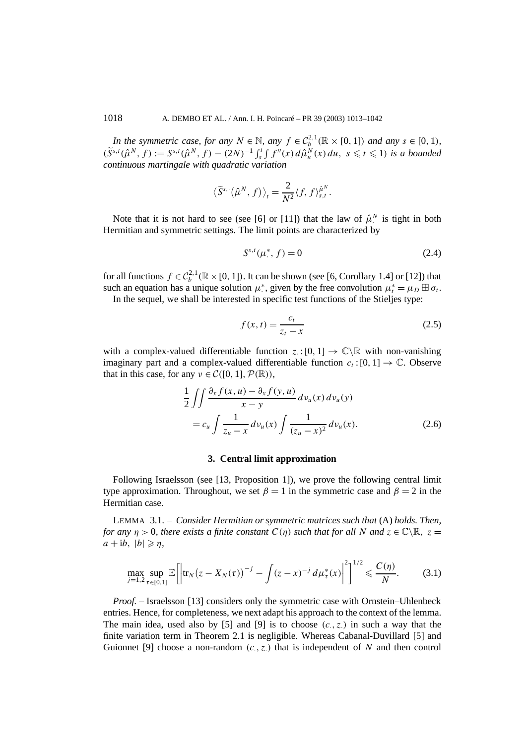*In the symmetric case, for any*  $N \in \mathbb{N}$ *, any*  $f \in C_b^{2,1}(\mathbb{R} \times [0, 1])$  *and any*  $s \in [0, 1)$ *,*  $(\tilde{S}^{s,t}(\hat{\mu}^N, f) := S^{s,t}(\hat{\mu}^N, f) - (2N)^{-1} \int_s^t \int f''(x) d\hat{\mu}_u^N(x) du, s \le t \le 1$  is a bounded *continuous martingale with quadratic variation*

$$
\left\langle \widetilde{S}^{s,\cdot}(\hat{\mu}^N,f)\right\rangle_t=\frac{2}{N^2}\langle f,f\rangle_{s,t}^{\hat{\mu}^N}.
$$

Note that it is not hard to see (see [6] or [11]) that the law of  $\hat{\mu}^N$  is tight in both Hermitian and symmetric settings. The limit points are characterized by

$$
S^{s,t}(\mu^*, f) = 0 \tag{2.4}
$$

for all functions  $f \in C_b^{2,1}(\mathbb{R} \times [0, 1])$ . It can be shown (see [6, Corollary 1.4] or [12]) that such an equation has a unique solution  $\mu^*$ , given by the free convolution  $\mu^*_t = \mu_D \boxplus \sigma_t$ .

In the sequel, we shall be interested in specific test functions of the Stieljes type:

$$
f(x,t) = \frac{c_t}{z_t - x} \tag{2.5}
$$

with a complex-valued differentiable function  $z: [0, 1] \rightarrow \mathbb{C} \setminus \mathbb{R}$  with non-vanishing imaginary part and a complex-valued differentiable function  $c_t$ : [0, 1]  $\rightarrow \mathbb{C}$ . Observe that in this case, for any  $\nu \in C([0, 1], \mathcal{P}(\mathbb{R}))$ ,

$$
\frac{1}{2} \iint \frac{\partial_x f(x, u) - \partial_x f(y, u)}{x - y} dv_u(x) dv_u(y)
$$
  
=  $c_u \int \frac{1}{z_u - x} dv_u(x) \int \frac{1}{(z_u - x)^2} dv_u(x).$  (2.6)

## **3. Central limit approximation**

Following Israelsson (see [13, Proposition 1]), we prove the following central limit type approximation. Throughout, we set  $\beta = 1$  in the symmetric case and  $\beta = 2$  in the Hermitian case.

LEMMA 3.1. – *Consider Hermitian or symmetric matrices such that* (A) *holds. Then, for any*  $\eta > 0$ *, there exists a finite constant*  $C(\eta)$  *such that for all*  $N$  *and*  $z \in \mathbb{C} \setminus \mathbb{R}$ *, z* =  $a + ib, |b| \geqslant \eta$ 

$$
\max_{j=1,2}\sup_{\tau\in[0,1]}\mathbb{E}\bigg[\bigg|\text{tr}_N(z-X_N(\tau))^{-j}-\int (z-x)^{-j} \,d\mu_\tau^*(x)\bigg|^2\bigg]^{1/2}\leqslant \frac{C(\eta)}{N}.\tag{3.1}
$$

*Proof.* – Israelsson [13] considers only the symmetric case with Ornstein–Uhlenbeck entries. Hence, for completeness, we next adapt his approach to the context of the lemma. The main idea, used also by [5] and [9] is to choose  $(c, z)$  in such a way that the finite variation term in Theorem 2.1 is negligible. Whereas Cabanal-Duvillard [5] and Guionnet [9] choose a non-random  $(c, z)$  that is independent of *N* and then control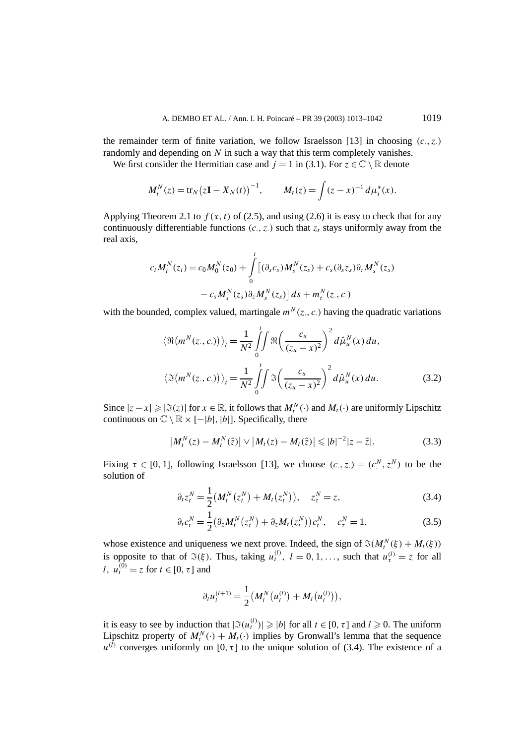the remainder term of finite variation, we follow Israelsson [13] in choosing *(c*·*, z*·*)* randomly and depending on *N* in such a way that this term completely vanishes.

We first consider the Hermitian case and  $j = 1$  in (3.1). For  $z \in \mathbb{C} \setminus \mathbb{R}$  denote

$$
M_t^N(z) = \text{tr}_N(z\mathbf{I} - X_N(t))^{-1}, \qquad M_t(z) = \int (z-x)^{-1} d\mu_t^*(x).
$$

Applying Theorem 2.1 to  $f(x, t)$  of (2.5), and using (2.6) it is easy to check that for any continuously differentiable functions  $(c, z)$  such that  $z_t$  stays uniformly away from the real axis,

$$
c_t M_t^N(z_t) = c_0 M_0^N(z_0) + \int_0^t \left[ (\partial_s c_s) M_s^N(z_s) + c_s (\partial_s z_s) \partial_z M_s^N(z_s) - c_s M_s^N(z_s) \partial_z M_s^N(z_s) \right] ds + m_t^N(z, c)
$$

with the bounded, complex valued, martingale  $m^N(z, c)$  having the quadratic variations

$$
\langle \Re(m^N(z_0, c_0))\rangle_t = \frac{1}{N^2} \int_0^t \int \Re\left(\frac{c_u}{(z_u - x)^2}\right)^2 d\hat{\mu}_u^N(x) du,
$$
  

$$
\langle \Im(m^N(z_0, c_0))\rangle_t = \frac{1}{N^2} \int_0^t \int \Im\left(\frac{c_u}{(z_u - x)^2}\right)^2 d\hat{\mu}_u^N(x) du.
$$
 (3.2)

Since  $|z - x| \ge |\Im(z)|$  for  $x \in \mathbb{R}$ , it follows that  $M_t^N(\cdot)$  and  $M_t(\cdot)$  are uniformly Lipschitz continuous on  $\mathbb{C} \setminus \mathbb{R} \times [-|b|, |b|]$ . Specifically, there

$$
\left|M_t^N(z) - M_t^N(\tilde{z})\right| \vee \left|M_t(z) - M_t(\tilde{z})\right| \leqslant |b|^{-2} |z - \tilde{z}|.
$$
\n(3.3)

Fixing  $\tau \in [0, 1]$ , following Israelsson [13], we choose  $(c_., z.) = (c_.,^N, z_.,^N)$  to be the solution of

$$
\partial_t z_t^N = \frac{1}{2} \left( M_t^N (z_t^N) + M_t (z_t^N) \right), \quad z_\tau^N = z,
$$
\n(3.4)

$$
\partial_t c_t^N = \frac{1}{2} \big( \partial_z M_t^N \big( z_t^N \big) + \partial_z M_t \big( z_t^N \big) \big) c_t^N, \quad c_\tau^N = 1,
$$
\n(3.5)

whose existence and uniqueness we next prove. Indeed, the sign of  $\mathfrak{I}(M_t^N(\xi) + M_t(\xi))$ is opposite to that of  $\Im(\xi)$ . Thus, taking  $u_t^{(l)}$ ,  $l = 0, 1, \ldots$ , such that  $u_\tau^{(l)} = z$  for all *l*,  $u_t^{(0)} = z$  for  $t \in [0, \tau]$  and

$$
\partial_t u_t^{(l+1)} = \frac{1}{2} \big( M_t^N(u_t^{(l)}) + M_t(u_t^{(l)}) \big),
$$

it is easy to see by induction that  $|\Im(u_t^{(l)})| \geq |b|$  for all  $t \in [0, \tau]$  and  $l \geq 0$ . The uniform Lipschitz property of  $M_t^N(\cdot) + M_t(\cdot)$  implies by Gronwall's lemma that the sequence  $u^{(\bar{l})}$  converges uniformly on [0,  $\tau$ ] to the unique solution of (3.4). The existence of a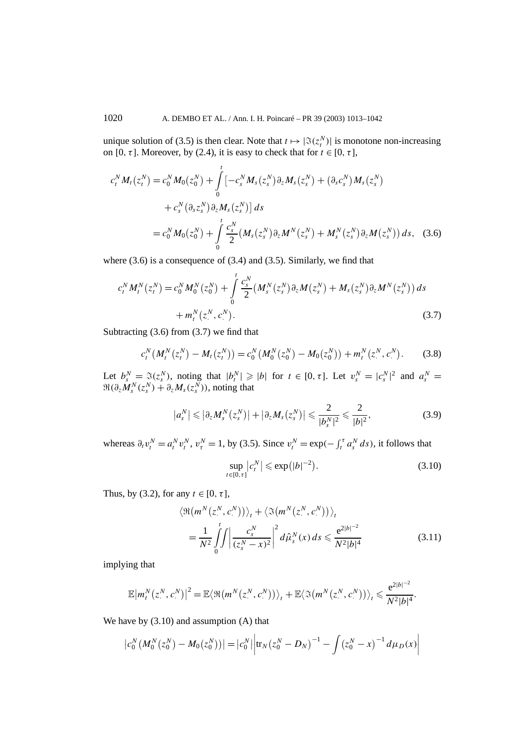unique solution of (3.5) is then clear. Note that  $t \mapsto |\Im(z_i^N)|$  is monotone non-increasing on [0,  $\tau$ ]. Moreover, by (2.4), it is easy to check that for  $t \in [0, \tau]$ ,

$$
c_t^N M_t(z_t^N) = c_0^N M_0(z_0^N) + \int_0^t \left[ -c_s^N M_s(z_s^N) \partial_z M_s(z_s^N) + (\partial_s c_s^N) M_s(z_s^N) \right. \\ \left. + c_s^N (\partial_s z_s^N) \partial_z M_s(z_s^N) \right] ds \\ = c_0^N M_0(z_0^N) + \int_0^t \frac{c_s^N}{2} (M_s(z_s^N) \partial_z M^N(z_s^N) + M_s^N(z_s^N) \partial_z M(z_s^N)) ds, \quad (3.6)
$$

where (3.6) is a consequence of (3.4) and (3.5). Similarly, we find that

$$
c_t^N M_t^N(z_t^N) = c_0^N M_0^N(z_0^N) + \int\limits_0^t \frac{c_s^N}{2} (M_s^N(z_s^N)\partial_z M(z_s^N) + M_s(z_s^N)\partial_z M^N(z_s^N)) ds + m_t^N(z_s^N, c_s^N).
$$
\n(3.7)

Subtracting (3.6) from (3.7) we find that

$$
c_t^N(M_t^N(z_t^N) - M_t(z_t^N)) = c_0^N(M_0^N(z_0^N) - M_0(z_0^N)) + m_t^N(z_t^N, c_t^N). \tag{3.8}
$$

Let  $b_s^N = \mathfrak{F}(z_s^N)$ , noting that  $|b_t^N| \geqslant |b|$  for  $t \in [0, \tau]$ . Let  $v_s^N = |c_s^N|^2$  and  $a_s^N =$  $\Re(\partial_z M_s^N(z_s^N) + \partial_z M_s(z_s^N))$ , noting that

$$
\left|a_s^N\right| \leqslant \left|\partial_z M_s^N\left(z_s^N\right)\right| + \left|\partial_z M_s\left(z_s^N\right)\right| \leqslant \frac{2}{|b_s^N|^2} \leqslant \frac{2}{|b|^2},\tag{3.9}
$$

whereas  $\partial_t v_t^N = a_t^N v_t^N$ ,  $v_t^N = 1$ , by (3.5). Since  $v_t^N = \exp(-\int_t^{\tau} a_s^N ds)$ , it follows that

$$
\sup_{t \in [0,\tau]} |c_t^N| \le \exp(|b|^{-2}). \tag{3.10}
$$

Thus, by (3.2), for any  $t \in [0, \tau]$ ,

$$
\langle \Re(m^N(z^N, c^N)) \rangle_t + \langle \Im(m^N(z^N, c^N)) \rangle_t
$$
  
= 
$$
\frac{1}{N^2} \int_0^t \int \left| \frac{c_s^N}{(z_s^N - x)^2} \right|^2 d\hat{\mu}_s^N(x) ds \le \frac{e^{2|b|^{-2}}}{N^2|b|^4}
$$
(3.11)

implying that

$$
\mathbb{E}\big|m_t^N(z_\cdot^N,c_\cdot^N)\big|^2=\mathbb{E}\big\langle\Re\big(m^N(z_\cdot^N,c_\cdot^N)\big)\big\rangle_t+\mathbb{E}\big\langle\Im\big(m^N(z_\cdot^N,c_\cdot^N)\big)\big\rangle_t\leqslant\frac{e^{2|b|^{-2}}}{N^2|b|^4}.
$$

We have by (3.10) and assumption (A) that

$$
\left|c_0^N(M_0^N(z_0^N) - M_0(z_0^N))\right| = \left|c_0^N\right| \left|\text{tr}_N(z_0^N - D_N)^{-1} - \int (z_0^N - x)^{-1} d\mu_D(x)\right|
$$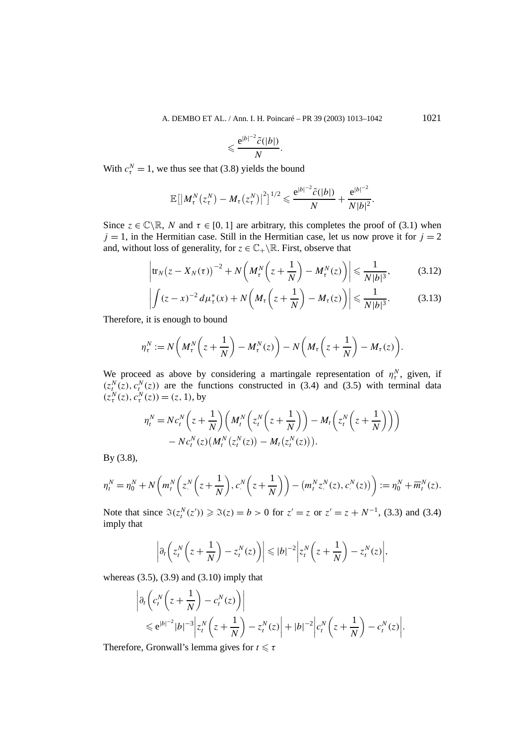A. DEMBO ET AL. / Ann. I. H. Poincaré – PR 39 (2003) 1013–1042 1021

$$
\leqslant \frac{e^{|b|^{-2}\tilde{c}(|b|)}}{N}.
$$

With  $c_{\tau}^{N} = 1$ , we thus see that (3.8) yields the bound

$$
\mathbb{E}\big[\big|M_{\tau}^N(z_{\tau}^N)-M_{\tau}(z_{\tau}^N)\big|^2\big]^{1/2}\leqslant \frac{e^{|b|^{-2}\widetilde{c}(|b|)}}{N}+\frac{e^{|b|^{-2}}}{N|b|^2}.
$$

Since  $z \in \mathbb{C} \backslash \mathbb{R}$ , *N* and  $\tau \in [0, 1]$  are arbitrary, this completes the proof of (3.1) when  $j = 1$ , in the Hermitian case. Still in the Hermitian case, let us now prove it for  $j = 2$ and, without loss of generality, for  $z \in \mathbb{C}_+ \backslash \mathbb{R}$ . First, observe that

$$
\left|\operatorname{tr}_N(z - X_N(\tau))^{-2} + N\left(M_\tau^N\left(z + \frac{1}{N}\right) - M_\tau^N(z)\right)\right| \leq \frac{1}{N|b|^3},\tag{3.12}
$$

$$
\left| \int (z-x)^{-2} d\mu_{\tau}^*(x) + N\left(M_{\tau}\left(z+\frac{1}{N}\right) - M_{\tau}(z)\right) \right| \leq \frac{1}{N|b|^3}.
$$
 (3.13)

Therefore, it is enough to bound

$$
\eta_{\tau}^N := N\bigg(M_{\tau}^N\bigg(z+\frac{1}{N}\bigg)-M_{\tau}^N(z)\bigg)-N\bigg(M_{\tau}\bigg(z+\frac{1}{N}\bigg)-M_{\tau}(z)\bigg).
$$

We proceed as above by considering a martingale representation of  $\eta_{\tau}^{N}$ , given, if  $(z<sub>t</sub><sup>N</sup>(z), c<sub>t</sub><sup>N</sup>(z))$  are the functions constructed in (3.4) and (3.5) with terminal data  $(z^N_\tau(z), c^N_\tau(z)) = (z, 1)$ , by

$$
\eta_t^N = N c_t^N \left( z + \frac{1}{N} \right) \left( M_t^N \left( z_t^N \left( z + \frac{1}{N} \right) \right) - M_t \left( z_t^N \left( z + \frac{1}{N} \right) \right) \right) - N c_t^N(z) \left( M_t^N \left( z_t^N(z) \right) - M_t \left( z_t^N(z) \right) \right).
$$

By (3.8),

$$
\eta_t^N = \eta_0^N + N\bigg(m_t^N\bigg(z^N\bigg(z + \frac{1}{N}\bigg), c^N\bigg(z + \frac{1}{N}\bigg)\bigg) - \big(m_t^N z^N(z), c^N(z)\bigg) := \eta_0^N + \overline{m}_t^N(z).
$$

Note that since  $\Im(z_i^N(z')) \ge \Im(z) = b > 0$  for  $z' = z$  or  $z' = z + N^{-1}$ , (3.3) and (3.4) imply that

$$
\left|\partial_t\left(z_t^N\left(z+\frac{1}{N}\right)-z_t^N(z)\right)\right|\leqslant |b|^{-2}\left|z_t^N\left(z+\frac{1}{N}\right)-z_t^N(z)\right|,
$$

whereas  $(3.5)$ ,  $(3.9)$  and  $(3.10)$  imply that

$$
\left| \partial_t \left( c_t^N \left( z + \frac{1}{N} \right) - c_t^N(z) \right) \right|
$$
  
\n
$$
\leq e^{|b|^{-2}} |b|^{-3} \left| z_t^N \left( z + \frac{1}{N} \right) - z_t^N(z) \right| + |b|^{-2} \left| c_t^N \left( z + \frac{1}{N} \right) - c_t^N(z) \right|
$$

*.*

Therefore, Gronwall's lemma gives for  $t \le \tau$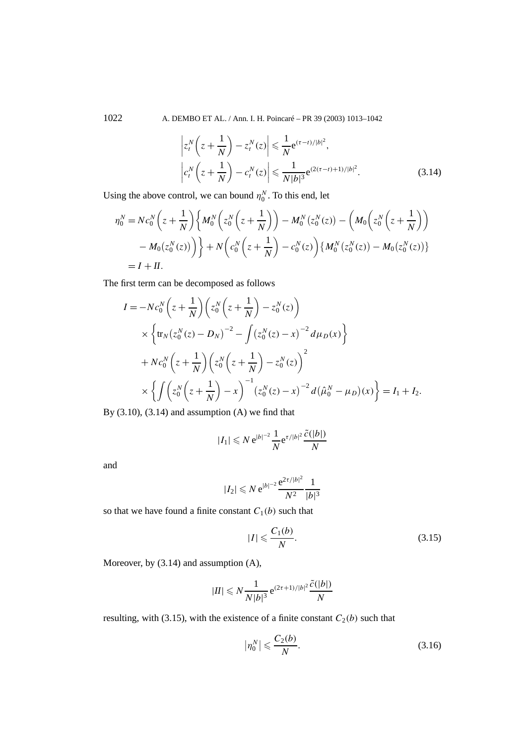1022 A. DEMBO ET AL. / Ann. I. H. Poincaré – PR 39 (2003) 1013–1042

$$
\left| z_t^N \left( z + \frac{1}{N} \right) - z_t^N (z) \right| \leqslant \frac{1}{N} e^{(\tau - t)/|b|^2},
$$
\n
$$
\left| c_t^N \left( z + \frac{1}{N} \right) - c_t^N (z) \right| \leqslant \frac{1}{N |b|^3} e^{(2(\tau - t) + 1)/|b|^2}.
$$
\n(3.14)

Using the above control, we can bound  $\eta_0^N$ . To this end, let

$$
\eta_0^N = N c_0^N \left( z + \frac{1}{N} \right) \left\{ M_0^N \left( z_0^N \left( z + \frac{1}{N} \right) \right) - M_0^N (z_0^N (z)) - \left( M_0 \left( z_0^N \left( z + \frac{1}{N} \right) \right) \right) \right\}
$$
  
- 
$$
M_0 (z_0^N (z)) \right) \right\} + N \left( c_0^N \left( z + \frac{1}{N} \right) - c_0^N (z) \right) \left\{ M_0^N (z_0^N (z)) - M_0 (z_0^N (z)) \right\}
$$
  
=  $I + II$ .

The first term can be decomposed as follows

$$
I = -Nc_0^N \left( z + \frac{1}{N} \right) \left( z_0^N \left( z + \frac{1}{N} \right) - z_0^N(z) \right)
$$
  
 
$$
\times \left\{ \text{tr}_N \left( z_0^N(z) - D_N \right)^{-2} - \int \left( z_0^N(z) - x \right)^{-2} d\mu_D(x) \right\}
$$
  
 
$$
+ Nc_0^N \left( z + \frac{1}{N} \right) \left( z_0^N \left( z + \frac{1}{N} \right) - z_0^N(z) \right)^2
$$
  
 
$$
\times \left\{ \int \left( z_0^N \left( z + \frac{1}{N} \right) - x \right)^{-1} \left( z_0^N(z) - x \right)^{-2} d\left( \hat{\mu}_0^N - \mu_D \right) (x) \right\} = I_1 + I_2.
$$

By  $(3.10)$ ,  $(3.14)$  and assumption  $(A)$  we find that

$$
|I_1| \leqslant N e^{|b|^{-2}} \frac{1}{N} e^{\tau/|b|^2} \frac{\tilde{c}(|b|)}{N}
$$

and

$$
|I_2| \leqslant N e^{|b|^{-2}} \frac{e^{2\tau/|b|^2}}{N^2} \frac{1}{|b|^3}
$$

so that we have found a finite constant  $C_1(b)$  such that

$$
|I| \leqslant \frac{C_1(b)}{N}.\tag{3.15}
$$

Moreover, by (3.14) and assumption (A),

$$
|II| \leq N \frac{1}{N|b|^3} e^{(2\tau+1)/|b|^2} \frac{\tilde{c}(|b|)}{N}
$$

resulting, with (3.15), with the existence of a finite constant  $C_2(b)$  such that

$$
\left|\eta_0^N\right| \leqslant \frac{C_2(b)}{N}.\tag{3.16}
$$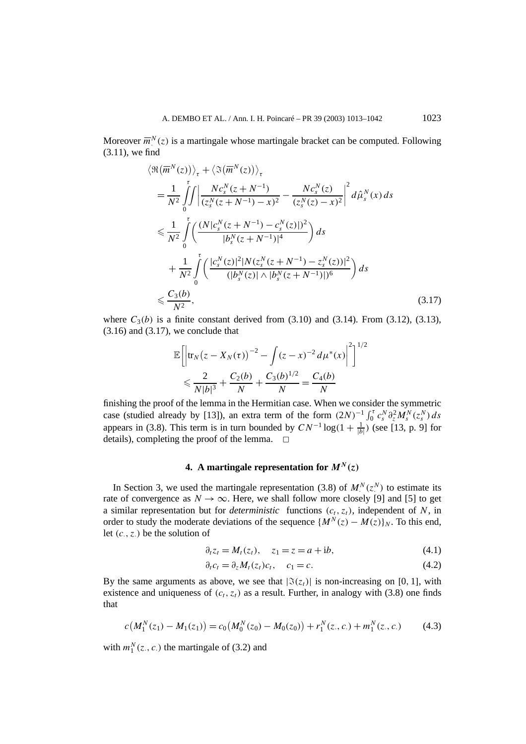Moreover  $\overline{m}_{\cdot}^{N}(z)$  is a martingale whose martingale bracket can be computed. Following (3.11), we find

$$
\langle \Re(\overline{m}^{N}(z)) \rangle_{\tau} + \langle \Im(\overline{m}^{N}(z)) \rangle_{\tau}
$$
\n
$$
= \frac{1}{N^{2}} \int_{0}^{\tau} \int \left| \frac{N c_{s}^{N}(z + N^{-1})}{(z_{s}^{N}(z + N^{-1}) - x)^{2}} - \frac{N c_{s}^{N}(z)}{(z_{s}^{N}(z) - x)^{2}} \right|^{2} d\hat{\mu}_{s}^{N}(x) ds
$$
\n
$$
\leq \frac{1}{N^{2}} \int_{0}^{\tau} \left( \frac{(N | c_{s}^{N}(z + N^{-1}) - c_{s}^{N}(z)|)^{2}}{|b_{s}^{N}(z + N^{-1})|^{4}} \right) ds
$$
\n
$$
+ \frac{1}{N^{2}} \int_{0}^{\tau} \left( \frac{|c_{s}^{N}(z)|^{2} |N(z_{s}^{N}(z + N^{-1}) - z_{s}^{N}(z))|^{2}}{(|b_{s}^{N}(z)| \wedge |b_{s}^{N}(z + N^{-1})|)^{6}} \right) ds
$$
\n
$$
\leq \frac{C_{3}(b)}{N^{2}}, \qquad (3.17)
$$

where  $C_3(b)$  is a finite constant derived from  $(3.10)$  and  $(3.14)$ . From  $(3.12)$ ,  $(3.13)$ ,  $(3.16)$  and  $(3.17)$ , we conclude that

$$
\mathbb{E}\left[\left|\text{tr}_N(z - X_N(\tau))\right|^{-2} - \int (z - x)^{-2} d\mu^*(x)\right|^2\right]^{1/2}
$$
  
\$\leq \frac{2}{N|b|^3} + \frac{C\_2(b)}{N} + \frac{C\_3(b)^{1/2}}{N} = \frac{C\_4(b)}{N}

finishing the proof of the lemma in the Hermitian case. When we consider the symmetric case (studied already by [13]), an extra term of the form  $(2N)^{-1} \int_0^r c_s^N \partial_z^2 M_s^N(z_s^N) ds$ appears in (3.8). This term is in turn bounded by  $CN^{-1}\log(1+\frac{1}{|b|})$  (see [13, p. 9] for details), completing the proof of the lemma.  $\square$ 

## **4.** A martingale representation for  $M^N(z)$

In Section 3, we used the martingale representation (3.8) of  $M<sup>N</sup>(z<sup>N</sup>)$  to estimate its rate of convergence as  $N \to \infty$ . Here, we shall follow more closely [9] and [5] to get a similar representation but for *deterministic* functions  $(c_t, z_t)$ , independent of *N*, in order to study the moderate deviations of the sequence  ${M^N(z) - M(z)}_N$ . To this end, let *(c*·*, z*·*)* be the solution of

$$
\partial_t z_t = M_t(z_t), \quad z_1 = z = a + ib,\tag{4.1}
$$

$$
\partial_t c_t = \partial_z M_t(z_t) c_t, \quad c_1 = c. \tag{4.2}
$$

By the same arguments as above, we see that  $|\Im(z_i)|$  is non-increasing on [0, 1], with existence and uniqueness of  $(c_t, z_t)$  as a result. Further, in analogy with (3.8) one finds that

$$
c(M_1^N(z_1) - M_1(z_1)) = c_0(M_0^N(z_0) - M_0(z_0)) + r_1^N(z_0, c_0) + m_1^N(z_0, c_0)
$$
 (4.3)

with  $m_1^N(z_., c.)$  the martingale of (3.2) and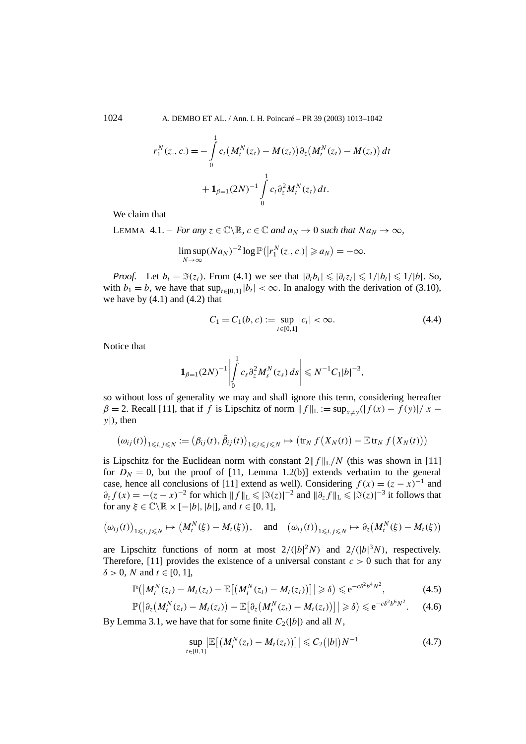1024 A. DEMBO ET AL. / Ann. I. H. Poincaré – PR 39 (2003) 1013–1042

$$
r_1^N(z_1, c_1) = -\int_0^1 c_t \left(M_t^N(z_t) - M(z_t)\right) \partial_z \left(M_t^N(z_t) - M(z_t)\right) dt
$$
  
+ 
$$
1_{\beta=1} (2N)^{-1} \int_0^1 c_t \partial_z^2 M_t^N(z_t) dt.
$$

We claim that

LEMMA 4.1. – *For any*  $z \in \mathbb{C} \backslash \mathbb{R}$ ,  $c \in \mathbb{C}$  *and*  $a_N \to 0$  *such that*  $Na_N \to \infty$ ,

$$
\limsup_{N\to\infty}(Na_N)^{-2}\log\mathbb{P}(|r_1^N(z_.,c.)|\geq a_N)=-\infty.
$$

*Proof.* – Let  $b_t = \Im(z_t)$ . From (4.1) we see that  $|\partial_t b_t| \leq |\partial_t z_t| \leq 1/|b_t| \leq 1/|b|$ . So, with  $b_1 = b$ , we have that  $\sup_{t \in [0,1]} |b_t| < \infty$ . In analogy with the derivation of (3.10), we have by  $(4.1)$  and  $(4.2)$  that

$$
C_1 = C_1(b, c) := \sup_{t \in [0, 1]} |c_t| < \infty. \tag{4.4}
$$

Notice that

$$
\mathbf{1}_{\beta=1}(2N)^{-1}\left|\int\limits_{0}^{1}c_{s}\partial_{z}^{2}M_{s}^{N}(z_{s})ds\right|\leqslant N^{-1}C_{1}|b|^{-3},
$$

so without loss of generality we may and shall ignore this term, considering hereafter  $\beta = 2$ . Recall [11], that if *f* is Lipschitz of norm  $|| f ||_{L} := \sup_{x \neq y} (| f(x) - f(y)| / |x - y|)$ *y*|*)*, then

$$
(\omega_{ij}(t))_{1\leqslant i,j\leqslant N} := (\beta_{ij}(t),\tilde{\beta}_{ij}(t))_{1\leqslant i\leqslant j\leqslant N} \mapsto (\text{tr}_N f(X_N(t)) - \mathbb{E} \text{tr}_N f(X_N(t)))
$$

is Lipschitz for the Euclidean norm with constant  $2||f||_L/N$  (this was shown in [11] for  $D_N = 0$ , but the proof of [11, Lemma 1.2(b)] extends verbatim to the general case, hence all conclusions of [11] extend as well). Considering  $f(x) = (z - x)^{-1}$  and  $\partial_z f(x) = -(z-x)^{-2}$  for which  $||f||_L \leq |\Im(z)|^{-2}$  and  $||\partial_z f||_L \leq |\Im(z)|^{-3}$  it follows that for any  $\xi \in \mathbb{C} \backslash \mathbb{R} \times [-|b|, |b|]$ , and  $t \in [0, 1]$ ,

$$
(\omega_{ij}(t))_{1\leqslant i,j\leqslant N}\mapsto \big(M_t^N(\xi)-M_t(\xi)\big),\quad\text{and}\quad \big(\omega_{ij}(t)\big)_{1\leqslant i,j\leqslant N}\mapsto \partial_z\big(M_t^N(\xi)-M_t(\xi)\big)
$$

are Lipschitz functions of norm at most  $2/(|b|^2N)$  and  $2/(|b|^3N)$ , respectively. Therefore, [11] provides the existence of a universal constant  $c > 0$  such that for any  $\delta > 0$ , *N* and  $t \in [0, 1]$ ,

$$
\mathbb{P}\big(\big|M_t^N(z_t)-M_t(z_t)-\mathbb{E}\big[\big(M_t^N(z_t)-M_t(z_t)\big)\big]\big|\geqslant \delta\big)\leqslant e^{-c\delta^2b^4N^2},\qquad\qquad(4.5)
$$

$$
\mathbb{P}\big(\big|\partial_z\big(M_t^N(z_t)-M_t(z_t)\big)-\mathbb{E}\big[\partial_z\big(M_t^N(z_t)-M_t(z_t)\big)\big]\big|\geqslant \delta\big)\leqslant e^{-c\delta^2b^6N^2}.\qquad(4.6)
$$

By Lemma 3.1, we have that for some finite  $C_2(|b|)$  and all N,

$$
\sup_{t\in[0,1]} \left| \mathbb{E}\left[ \left( M_t^N(z_t) - M_t(z_t) \right) \right] \right| \leqslant C_2 (|b|) N^{-1} \tag{4.7}
$$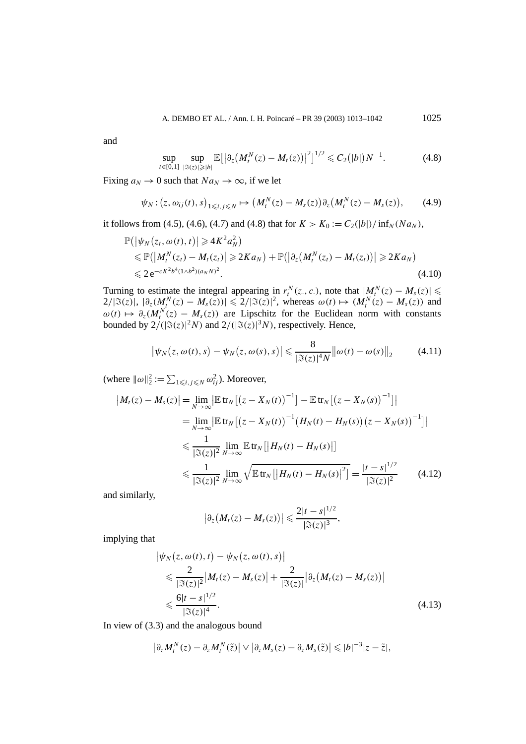and

$$
\sup_{t \in [0,1]} \sup_{|\Im(z)| \geq |b|} \mathbb{E} \big[ \big| \partial_z \big( M_t^N(z) - M_t(z) \big) \big|^2 \big]^{1/2} \leqslant C_2 (|b|) N^{-1}.
$$
 (4.8)

Fixing  $a_N \to 0$  such that  $Na_N \to \infty$ , if we let

$$
\psi_N: (z, \omega_{ij}(t), s)_{1 \le i, j \le N} \mapsto (M_t^N(z) - M_s(z)) \partial_z (M_t^N(z) - M_s(z)), \qquad (4.9)
$$

it follows from (4.5), (4.6), (4.7) and (4.8) that for  $K > K_0 := C_2(|b|)/\inf_N (Na_N)$ ,

$$
\mathbb{P}(|\psi_N(z_t, \omega(t), t)| \geq 4K^2 a_N^2)
$$
  
\n
$$
\leq \mathbb{P}(|M_t^N(z_t) - M_t(z_t)| \geq 2Ka_N) + \mathbb{P}(|\partial_z(M_t^N(z_t) - M_t(z_t))| \geq 2Ka_N)
$$
  
\n
$$
\leq 2e^{-cK^2 b^4(1 \wedge b^2)(a_N N)^2}.
$$
\n(4.10)

Turning to estimate the integral appearing in  $r_t^N(z_0, c_0)$ , note that  $|M_t^N(z) - M_s(z)| \le$  $2/$ | $\Im(z)$ |, | $\partial_z(M_t^N(z) - M_s(z))$ | ≤ 2/| $\Im(z)$ |<sup>2</sup>, whereas  $ω(t)$   $\mapsto$   $(M_t^N(z) - M_s(z))$  and  $\omega(t) \mapsto \partial_z(M_t^N(z) - M_s(z))$  are Lipschitz for the Euclidean norm with constants bounded by  $2/(|\Im(z)|^2 N)$  and  $2/(|\Im(z)|^3 N)$ , respectively. Hence,

$$
\left|\psi_N(z,\omega(t),s)-\psi_N(z,\omega(s),s)\right|\leq \frac{8}{|\Im(z)|^4N}\left\|\omega(t)-\omega(s)\right\|_2\qquad(4.11)
$$

(where  $\|\omega\|_2^2 := \sum_{1 \le i,j \le N} \omega_{ij}^2$ ). Moreover,

$$
|M_t(z) - M_s(z)| = \lim_{N \to \infty} |\mathbb{E} \operatorname{tr}_N[(z - X_N(t))^{-1}] - \mathbb{E} \operatorname{tr}_N[(z - X_N(s))^{-1}]|
$$
  
\n
$$
= \lim_{N \to \infty} |\mathbb{E} \operatorname{tr}_N[(z - X_N(t))^{-1} (H_N(t) - H_N(s)) (z - X_N(s))^{-1}]|
$$
  
\n
$$
\leq \frac{1}{|\Im(z)|^2} \lim_{N \to \infty} \mathbb{E} \operatorname{tr}_N[|H_N(t) - H_N(s)|]
$$
  
\n
$$
\leq \frac{1}{|\Im(z)|^2} \lim_{N \to \infty} \sqrt{\mathbb{E} \operatorname{tr}_N[|H_N(t) - H_N(s)|^2]} = \frac{|t - s|^{1/2}}{|\Im(z)|^2}
$$
(4.12)

and similarly,

$$
\left|\partial_z\big(M_t(z)-M_s(z)\big)\right|\leqslant \frac{2|t-s|^{1/2}}{|\Im(z)|^3},
$$

implying that

$$
\begin{split} \left| \psi_N(z, \omega(t), t) - \psi_N(z, \omega(t), s) \right| \\ &\leq \frac{2}{|\Im(z)|^2} |M_t(z) - M_s(z)| + \frac{2}{|\Im(z)|} |\partial_z (M_t(z) - M_s(z))| \\ &\leq \frac{6|t - s|^{1/2}}{|\Im(z)|^4} . \end{split} \tag{4.13}
$$

In view of (3.3) and the analogous bound

$$
\left|\partial_z M_t^N(z)-\partial_z M_t^N(\tilde{z})\right|\vee \left|\partial_z M_s(z)-\partial_z M_s(\tilde{z})\right|\leqslant |b|^{-3}|z-\tilde{z}|,
$$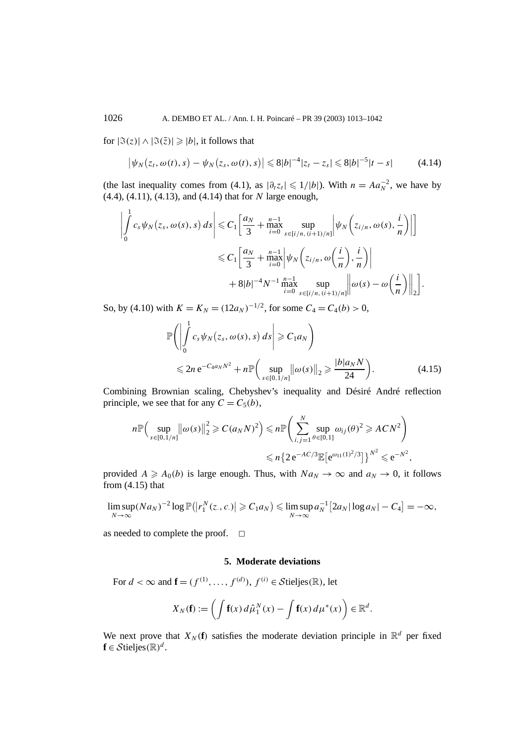for  $|\Im(z)| \wedge |\Im(\overline{z})| \geqslant |b|$ , it follows that

$$
\left|\psi_{N}(z_{t},\omega(t),s)-\psi_{N}(z_{s},\omega(t),s)\right|\leq 8|b|^{-4}|z_{t}-z_{s}|\leq 8|b|^{-5}|t-s|\qquad(4.14)
$$

(the last inequality comes from (4.1), as  $|\partial_t z_t| \leq 1/|b|$ ). With  $n = A a_N^{-2}$ , we have by (4.4), (4.11), (4.13), and (4.14) that for *N* large enough,

$$
\left| \int_{0}^{1} c_{s} \psi_{N}(z_{s}, \omega(s), s) ds \right| \leq C_{1} \left[ \frac{a_{N}}{3} + \max_{i=0}^{n-1} \sup_{s \in [i/n, (i+1)/n]} \left| \psi_{N}\left(z_{i/n}, \omega(s), \frac{i}{n}\right) \right| \right]
$$
  

$$
\leq C_{1} \left[ \frac{a_{N}}{3} + \max_{i=0}^{n-1} \left| \psi_{N}\left(z_{i/n}, \omega\left(\frac{i}{n}\right), \frac{i}{n}\right) \right|
$$
  

$$
+ 8|b|^{-4} N^{-1} \max_{i=0}^{n-1} \sup_{s \in [i/n, (i+1)/n]} \left\| \omega(s) - \omega\left(\frac{i}{n}\right) \right\|_{2} \right].
$$

So, by (4.10) with  $K = K_N = (12a_N)^{-1/2}$ , for some  $C_4 = C_4(b) > 0$ ,

$$
\mathbb{P}\left(\left|\int_{0}^{1}c_{s}\psi_{N}(z_{s},\omega(s),s)ds\right|\geq C_{1}a_{N}\right)
$$
  
\$\leqslant 2n e^{-C\_{4}a\_{N}N^{2}}+n\mathbb{P}\left(\sup\_{s\in[0,1/n]}\left\|\omega(s)\right\|\_{2}\geqslant\frac{|b|a\_{N}N}{24}\right).\$ (4.15)

Combining Brownian scaling, Chebyshev's inequality and Désiré André reflection principle, we see that for any  $C = C_5(b)$ ,

$$
n \mathbb{P}\Big(\sup_{s \in [0,1/n]} \big\| \omega(s) \big\|_{2}^{2} \ge C(a_{N}N)^{2}\Big) \le n \mathbb{P}\Big(\sum_{i,j=1}^{N} \sup_{\theta \in [0,1]} \omega_{ij}(\theta)^{2} \ge ACN^{2}\Big) \le n \big\{2 e^{-AC/3} \mathbb{E}\big[e^{\omega_{11}(1)^{2}/3}\big]\big\}^{N^{2}} \le e^{-N^{2}},
$$

provided  $A \geq A_0(b)$  is large enough. Thus, with  $Na_N \to \infty$  and  $a_N \to 0$ , it follows from  $(4.15)$  that

$$
\limsup_{N\to\infty}(Na_N)^{-2}\log\mathbb{P}(|r_1^N(z_1,c_2)|\geqslant C_1a_N)\leqslant \limsup_{N\to\infty}a_N^{-1}\big[2a_N|\log a_N|-C_4\big]=-\infty,
$$

as needed to complete the proof.  $\square$ 

## **5. Moderate deviations**

For  $d < \infty$  and  $\mathbf{f} = (f^{(1)}, \dots, f^{(d)})$ ,  $f^{(i)} \in \mathcal{S}$ tieljes $(\mathbb{R})$ , let

$$
X_N(\mathbf{f}) := \left( \int \mathbf{f}(x) \, d\hat{\mu}_1^N(x) - \int \mathbf{f}(x) \, d\mu^*(x) \right) \in \mathbb{R}^d.
$$

We next prove that  $X_N(f)$  satisfies the moderate deviation principle in  $\mathbb{R}^d$  per fixed  $f \in \mathcal{S}$ tieljes $(\mathbb{R})^d$ .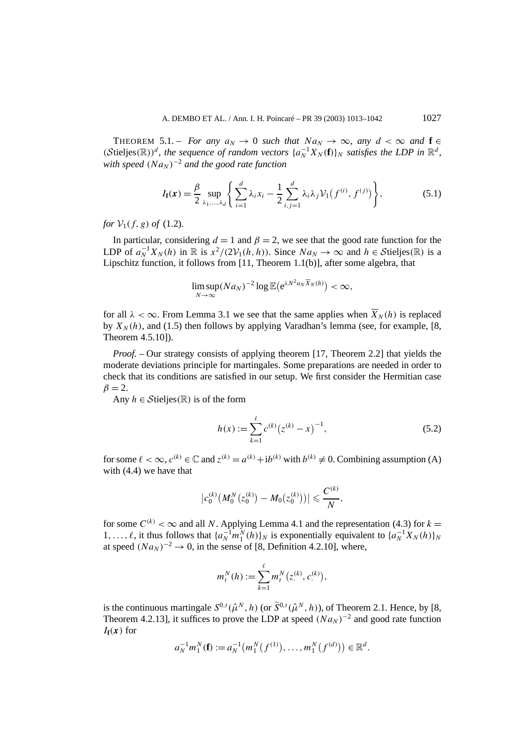THEOREM 5.1. – *For any*  $a_N \to 0$  *such that*  $Na_N \to \infty$ *, any*  $d < \infty$  *and*  $f \in$  $(S$ tieljes $(\mathbb{R}))^d$ , the sequence of random vectors  $\{a_N^{-1}X_N(f)\}_N$  satisfies the LDP in  $\mathbb{R}^d$ , *with speed*  $(Na_N)^{-2}$  *and the good rate function* 

$$
I_{\mathbf{f}}(\mathbf{x}) = \frac{\beta}{2} \sup_{\lambda_1, ..., \lambda_d} \left\{ \sum_{i=1}^d \lambda_i x_i - \frac{1}{2} \sum_{i,j=1}^d \lambda_i \lambda_j \mathcal{V}_1(f^{(i)}, f^{(j)}) \right\},\tag{5.1}
$$

*for*  $V_1(f, g)$  *of* (1.2)*.* 

In particular, considering  $d = 1$  and  $\beta = 2$ , we see that the good rate function for the LDP of  $a_N^{-1}X_N(h)$  in  $\mathbb R$  is  $x^2/(2V_1(h, h))$ . Since  $Na_N \to \infty$  and  $h \in \mathcal{S}$ tieljes $(\mathbb R)$  is a Lipschitz function, it follows from [11, Theorem 1.1(b)], after some algebra, that

$$
\limsup_{N\to\infty} (Na_N)^{-2} \log \mathbb{E}\big(e^{\lambda N^2 a_N \overline{X}_N(h)}\big) < \infty,
$$

for all  $\lambda < \infty$ . From Lemma 3.1 we see that the same applies when  $\overline{X}_N(h)$  is replaced by  $X_N(h)$ , and (1.5) then follows by applying Varadhan's lemma (see, for example, [8, Theorem 4.5.10]).

*Proof.* – Our strategy consists of applying theorem [17, Theorem 2.2] that yields the moderate deviations principle for martingales. Some preparations are needed in order to check that its conditions are satisfied in our setup. We first consider the Hermitian case  $\beta = 2$ .

Any  $h \in \mathcal{S}$ tieljes $(\mathbb{R})$  is of the form

$$
h(x) := \sum_{k=1}^{\ell} c^{(k)} (z^{(k)} - x)^{-1},
$$
\n(5.2)

for some  $\ell < \infty$ ,  $c^{(k)} \in \mathbb{C}$  and  $z^{(k)} = a^{(k)} + ib^{(k)}$  with  $b^{(k)} \neq 0$ . Combining assumption (A) with (4.4) we have that

$$
|c_0^{(k)}(M_0^N(z_0^{(k)})-M_0(z_0^{(k)}))|\leqslant \frac{C^{(k)}}{N},
$$

for some  $C^{(k)} < \infty$  and all *N*. Applying Lemma 4.1 and the representation (4.3) for  $k =$ 1,...,  $\ell$ , it thus follows that  $\{a_N^{-1}m_1^N(h)\}_N$  is exponentially equivalent to  $\{a_N^{-1}X_N(h)\}_N$ at speed  $(Na_N)^{-2} \rightarrow 0$ , in the sense of [8, Definition 4.2.10], where,

$$
m_t^N(h) := \sum_{k=1}^{\ell} m_t^N(z^{(k)}, c^{(k)}),
$$

is the continuous martingale  $S^{0,t}(\hat{\mu}^N, h)$  (or  $\tilde{S}^{0,t}(\hat{\mu}^N, h)$ ), of Theorem 2.1. Hence, by [8, Theorem 4.2.13], it suffices to prove the LDP at speed  $(Na_N)^{-2}$  and good rate function  $I_f(x)$  for

$$
a_N^{-1}m_1^N(\mathbf{f}) := a_N^{-1}(m_1^N(f^{(1)}), \ldots, m_1^N(f^{(d)})) \in \mathbb{R}^d.
$$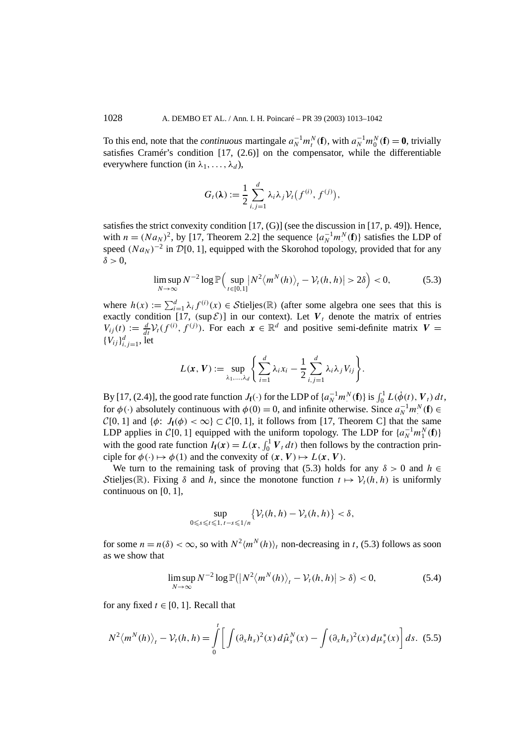To this end, note that the *continuous* martingale  $a_N^{-1}m_t^N(\mathbf{f})$ , with  $a_N^{-1}m_0^N(\mathbf{f}) = \mathbf{0}$ , trivially satisfies Cramér's condition [17, (2.6)] on the compensator, while the differentiable everywhere function (in  $\lambda_1, \ldots, \lambda_d$ ),

$$
G_t(\lambda) := \frac{1}{2} \sum_{i,j=1}^d \lambda_i \lambda_j \mathcal{V}_t(f^{(i)}, f^{(j)}),
$$

satisfies the strict convexity condition [17, (G)] (see the discussion in [17, p. 49]). Hence, with  $n = (Na_N)^2$ , by [17, Theorem 2.2] the sequence  $\{a_N^{-1}m_N^N(f)\}$  satisfies the LDP of speed  $(Na_N)^{-2}$  in  $\mathcal{D}[0, 1]$ , equipped with the Skorohod topology, provided that for any  $\delta > 0$ .

$$
\limsup_{N \to \infty} N^{-2} \log \mathbb{P}\Big(\sup_{t \in [0,1]} \left| N^2 \langle m^N(h) \rangle_t - \mathcal{V}_t(h,h) \right| > 2\delta \Big) < 0,\tag{5.3}
$$

where  $h(x) := \sum_{i=1}^{d} \lambda_i f^{(i)}(x) \in \mathcal{S}$ tieljes(R) (after some algebra one sees that this is exactly condition [17,  $(\sup \mathcal{E})$ ] in our context). Let  $V_t$  denote the matrix of entries  $V_{ij}(t) := \frac{d}{dt} V_t(f^{(i)}, f^{(j)})$ . For each  $x \in \mathbb{R}^d$  and positive semi-definite matrix  $V =$  ${V_{ij}}^d_{i,j=1}$ , let

$$
L(\boldsymbol{x},\boldsymbol{V}):=\sup_{\lambda_1,\ldots,\lambda_d}\Bigg\{\sum_{i=1}^d\lambda_ix_i-\frac{1}{2}\sum_{i,j=1}^d\lambda_i\lambda_jV_{ij}\Bigg\}.
$$

By [17, (2.4)], the good rate function  $J_f(\cdot)$  for the LDP of  $\{a_N^{-1}m_\cdot^N(f)\}\$ is  $\int_0^1 L(\dot{\phi}(t), V_t) dt$ , for  $\phi(\cdot)$  absolutely continuous with  $\phi(0) = 0$ , and infinite otherwise. Since  $a_N^{-1}m_N^N(\mathbf{f}) \in$  $C[0, 1]$  and  $\{\phi: J_f(\phi) < \infty\} \subset C[0, 1]$ , it follows from [17, Theorem C] that the same LDP applies in  $C[0, 1]$  equipped with the uniform topology. The LDP for  $\{a_N^{-1}m_1^N(f)\}$ with the good rate function  $I_f(x) = L(x, \int_0^1 V_t dt)$  then follows by the contraction principle for  $\phi(\cdot) \mapsto \phi(1)$  and the convexity of  $(\mathbf{x}, \mathbf{V}) \mapsto L(\mathbf{x}, \mathbf{V})$ .

We turn to the remaining task of proving that (5.3) holds for any  $\delta > 0$  and  $h \in$ Stieljes(R). Fixing  $\delta$  and *h*, since the monotone function  $t \mapsto \mathcal{V}_t(h, h)$  is uniformly continuous on [0*,* 1],

$$
\sup_{0\leq s\leq t\leq 1,\,t-s\leq 1/n}\bigl\{\mathcal{V}_t(h,h)-\mathcal{V}_s(h,h)\bigr\}<\delta,
$$

for some  $n = n(\delta) < \infty$ , so with  $N^2 \langle m^N(h) \rangle_t$  non-decreasing in *t*, (5.3) follows as soon as we show that

$$
\limsup_{N \to \infty} N^{-2} \log \mathbb{P}(|N^2 \langle m^N(h) \rangle_t - \mathcal{V}_t(h, h)| > \delta) < 0,
$$
\n(5.4)

for any fixed  $t \in [0, 1]$ . Recall that

$$
N^2 \langle m^N(h) \rangle_t - \mathcal{V}_t(h, h) = \int_0^t \left[ \int (\partial_x h_s)^2(x) d\hat{\mu}_s^N(x) - \int (\partial_x h_s)^2(x) d\mu_s^*(x) \right] ds. \tag{5.5}
$$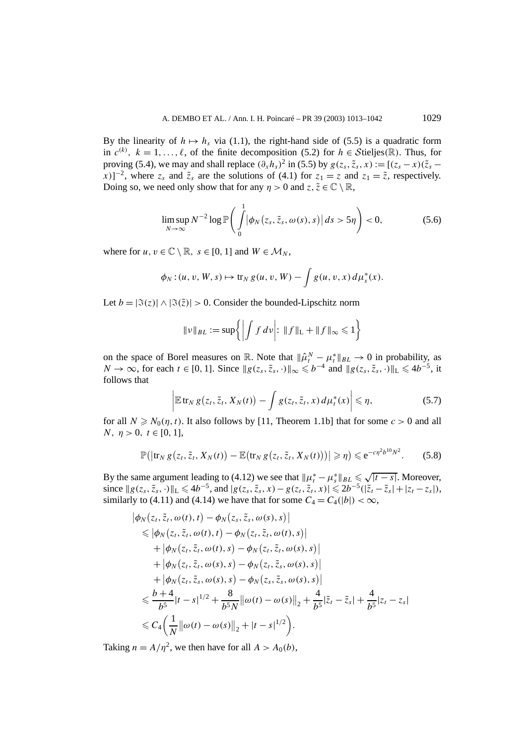By the linearity of  $h \mapsto h_s$  via (1.1), the right-hand side of (5.5) is a quadratic form in  $c^{(k)}$ ,  $k = 1, \ldots, \ell$ , of the finite decomposition (5.2) for  $h \in \mathcal{S}$ tieljes $(\mathbb{R})$ . Thus, for proving (5.4), we may and shall replace  $(\partial_x h_s)^2$  in (5.5) by  $g(z_s, \tilde{z}_s, x) := [(z_s - x)(\tilde{z}_s - x)]$ *x*)]<sup>-2</sup>, where  $z_s$  and  $\tilde{z}_s$  are the solutions of (4.1) for  $z_1 = z$  and  $z_1 = \tilde{z}$ , respectively. Doing so, we need only show that for any  $\eta > 0$  and  $z, \tilde{z} \in \mathbb{C} \setminus \mathbb{R}$ ,

$$
\limsup_{N \to \infty} N^{-2} \log \mathbb{P} \bigg( \int_{0}^{1} \left| \phi_N \left( z_s, \tilde{z}_s, \omega(s), s \right) \right| ds > 5\eta \bigg) < 0, \tag{5.6}
$$

where for  $u, v \in \mathbb{C} \setminus \mathbb{R}, s \in [0, 1]$  and  $W \in \mathcal{M}_N$ ,

$$
\phi_N:(u, v, W, s) \mapsto \operatorname{tr}_N g(u, v, W) - \int g(u, v, x) d\mu_s^*(x).
$$

Let  $b = |\Im(z)| \wedge |\Im(\tilde{z})| > 0$ . Consider the bounded-Lipschitz norm

$$
\|\nu\|_{BL} := \sup \left\{ \left| \int f \, d\nu \right| : \|f\|_{\mathcal{L}} + \|f\|_{\infty} \leq 1 \right\}
$$

on the space of Borel measures on R. Note that  $\|\hat{\mu}_t^N - \mu_t^*\|_{BL} \to 0$  in probability, as *N* → ∞, for each *t* ∈ [0, 1]. Since  $||g(z_s, \tilde{z}_s, \cdot)||_{\infty} \le b^{-4}$  and  $||g(z_s, \tilde{z}_s, \cdot)||_{\infty} \le 4b^{-5}$ , it follows that

$$
\left| \mathbb{E} \operatorname{tr}_N g\big(z_t, \tilde{z}_t, X_N(t)\big) - \int g(z_t, \tilde{z}_t, x) \, d\mu_t^*(x) \right| \leqslant \eta,
$$
\n(5.7)

for all  $N \ge N_0(\eta, t)$ . It also follows by [11, Theorem 1.1b] that for some  $c > 0$  and all *N*,  $\eta > 0$ ,  $t \in [0, 1]$ ,

$$
\mathbb{P}(|\text{tr}_N g(z_t, \tilde{z}_t, X_N(t)) - \mathbb{E}(\text{tr}_N g(z_t, \tilde{z}_t, X_N(t)))| \geqslant \eta) \leqslant e^{-c\eta^2 b^{10} N^2}.
$$
 (5.8)

By the same argument leading to (4.12) we see that  $||\mu_t^* - \mu_s^*||_{BL} \le \sqrt{|t-s|}$ . Moreover, since  $||g(z_s, \tilde{z}_s, \cdot)||_L$  ≤  $4b^{-5}$ , and  $|g(z_s, \tilde{z}_s, x) - g(z_t, \tilde{z}_t, x)|$  ≤  $2b^{-5}(|\tilde{z}_t - \tilde{z}_s| + |z_t - z_s|)$ , similarly to (4.11) and (4.14) we have that for some  $C_4 = C_4(|b|) < \infty$ ,

$$
\begin{split}\n&|\phi_{N}(z_{t}, \tilde{z}_{t}, \omega(t), t) - \phi_{N}(z_{s}, \tilde{z}_{s}, \omega(s), s)| \\
&\leq |\phi_{N}(z_{t}, \tilde{z}_{t}, \omega(t), t) - \phi_{N}(z_{t}, \tilde{z}_{t}, \omega(t), s)| \\
&+ |\phi_{N}(z_{t}, \tilde{z}_{t}, \omega(t), s) - \phi_{N}(z_{t}, \tilde{z}_{t}, \omega(s), s)| \\
&+ |\phi_{N}(z_{t}, \tilde{z}_{t}, \omega(s), s) - \phi_{N}(z_{t}, \tilde{z}_{s}, \omega(s), s)| \\
&+ |\phi_{N}(z_{t}, \tilde{z}_{s}, \omega(s), s) - \phi_{N}(z_{s}, \tilde{z}_{s}, \omega(s), s)| \\
&\leq \frac{b+4}{b^{5}}|t-s|^{1/2} + \frac{8}{b^{5}N} ||\omega(t) - \omega(s)||_{2} + \frac{4}{b^{5}}|\tilde{z}_{t} - \tilde{z}_{s}| + \frac{4}{b^{5}}|z_{t} - z_{s}| \\
&\leq C_{4} \left(\frac{1}{N} ||\omega(t) - \omega(s)||_{2} + |t - s|^{1/2}\right).\n\end{split}
$$

Taking  $n = A/\eta^2$ , we then have for all  $A > A_0(b)$ ,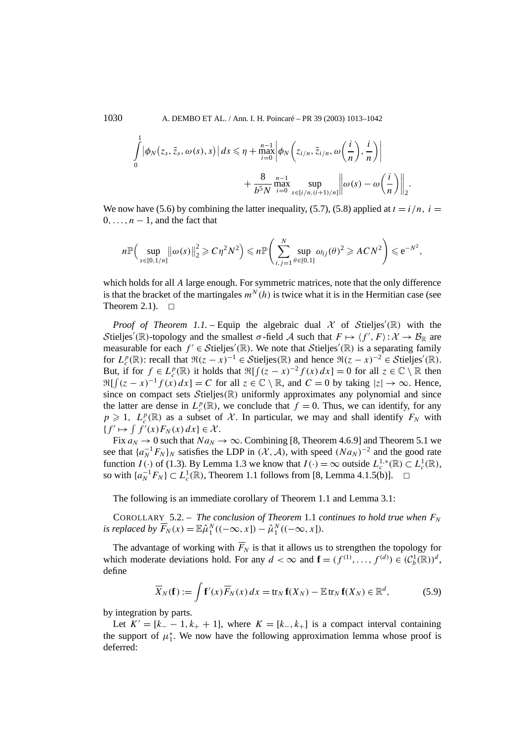1030 A. DEMBO ET AL. / Ann. I. H. Poincaré – PR 39 (2003) 1013–1042

$$
\int_{0}^{1} |\phi_{N}(z_{s}, \tilde{z}_{s}, \omega(s), s)| ds \le \eta + \max_{i=0}^{n-1} \left| \phi_{N}\left(z_{i/n}, \tilde{z}_{i/n}, \omega\left(\frac{i}{n}\right), \frac{i}{n}\right) \right|
$$

$$
+ \frac{8}{b^{5}N} \max_{i=0}^{n-1} \sup_{s \in [i/n, (i+1)/n]} \left\| \omega(s) - \omega\left(\frac{i}{n}\right) \right\|_{2}
$$

We now have (5.6) by combining the latter inequality, (5.7), (5.8) applied at  $t = i/n$ ,  $i =$  $0, \ldots, n-1$ , and the fact that

*.*

$$
n\mathbb{P}\Big(\sup_{s\in[0,1/n]}\big\|\omega(s)\big\|_2^2\geqslant C\eta^2N^2\Big)\leqslant n\mathbb{P}\Big(\sum_{i,j=1}^N\sup_{\theta\in[0,1]}\omega_{ij}(\theta)^2\geqslant ACN^2\Big)\leqslant e^{-N^2},
$$

which holds for all *A* large enough. For symmetric matrices, note that the only difference is that the bracket of the martingales  $m<sup>N</sup>(h)$  is twice what it is in the Hermitian case (see Theorem 2.1).  $\Box$ 

*Proof of Theorem 1.1.* – Equip the algebraic dual  $X$  of Stieljes'(R) with the Stieljes'(R)-topology and the smallest *σ*-field *A* such that  $F \mapsto \langle f', F \rangle : \mathcal{X} \to \mathcal{B}_{\mathbb{R}}$  are measurable for each  $f' \in Stieljes'(\mathbb{R})$ . We note that Stieljes'( $\mathbb{R}$ ) is a separating family for  $L_c^p(\mathbb{R})$ : recall that  $\Re(z-x)^{-1} \in \mathcal{S}$ tieljes $(\mathbb{R})$  and hence  $\Re(z-x)^{-2} \in \mathcal{S}$ tieljes' $(\mathbb{R})$ . But, if for  $f \in L_c^p(\mathbb{R})$  it holds that  $\Re[f(z-x)^{-2}f(x) dx] = 0$  for all  $z \in \mathbb{C} \setminus \mathbb{R}$  then  $\Re[f(z-x)^{-1}f(x) dx] = C$  for all  $z \in \mathbb{C} \setminus \mathbb{R}$ , and  $C = 0$  by taking  $|z| \to \infty$ . Hence, since on compact sets  $Stieljes(\mathbb{R})$  uniformly approximates any polynomial and since the latter are dense in  $L_c^p(\mathbb{R})$ , we conclude that  $f = 0$ . Thus, we can identify, for any  $p \geq 1$ ,  $L_c^p(\mathbb{R})$  as a subset of X. In particular, we may and shall identify  $F_N$  with  ${f' \mapsto \int f'(x) F_N(x) dx} \in \mathcal{X}$ .

Fix  $a_N \to 0$  such that  $Na_N \to \infty$ . Combining [8, Theorem 4.6.9] and Theorem 5.1 we see that  $\{a_N^{-1}F_N\}_N$  satisfies the LDP in  $(\mathcal{X}, \mathcal{A})$ , with speed  $(Na_N)^{-2}$  and the good rate function *I*(·) of (1.3). By Lemma 1.3 we know that  $I(\cdot) = \infty$  outside  $L_c^{1,*}(\mathbb{R}) \subset L_c^1(\mathbb{R})$ , so with  $\{a_N^{-1}F_N\}$  ⊂  $L_c^1(\mathbb{R})$ , Theorem 1.1 follows from [8, Lemma 4.1.5(b)].  $\Box$ 

The following is an immediate corollary of Theorem 1.1 and Lemma 3.1:

COROLLARY 5.2. – *The conclusion of Theorem* 1.1 *continues to hold true when*  $F_N$ *is replaced by*  $\overline{F}_N(x) = \mathbb{E} \hat{\mu}_1^N((-\infty, x]) - \hat{\mu}_1^N((-\infty, x]).$ 

The advantage of working with  $\overline{F}_N$  is that it allows us to strengthen the topology for which moderate deviations hold. For any  $d < \infty$  and  $\mathbf{f} = (f^{(1)}, \dots, f^{(d)}) \in (\mathcal{C}_b^1(\mathbb{R}))^d$ , define

$$
\overline{X}_N(\mathbf{f}) := \int \mathbf{f}'(x) \overline{F}_N(x) dx = \operatorname{tr}_N \mathbf{f}(X_N) - \mathbb{E} \operatorname{tr}_N \mathbf{f}(X_N) \in \mathbb{R}^d,
$$
\n(5.9)

by integration by parts.

Let  $K' = [k_+ - 1, k_+ + 1]$ , where  $K = [k_-, k_+]$  is a compact interval containing the support of  $\mu_1^*$ . We now have the following approximation lemma whose proof is deferred: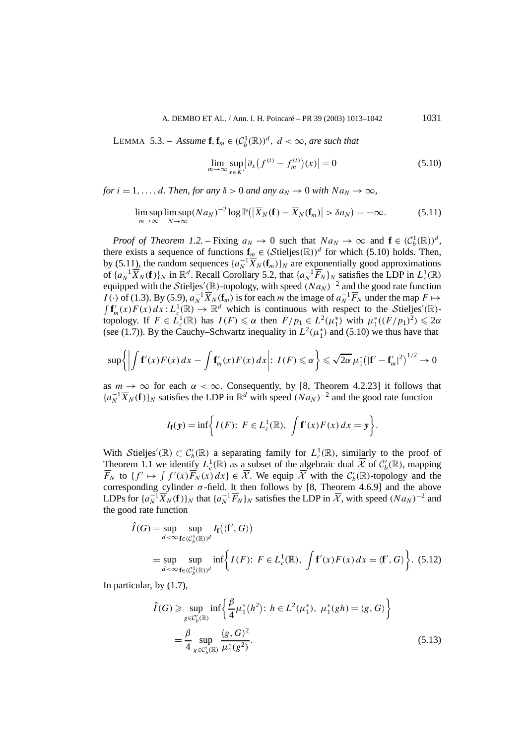LEMMA 5.3. – *Assume* **f**,  $\mathbf{f}_m \in (C_b^1(\mathbb{R}))^d$ ,  $d < \infty$ , are such that

$$
\lim_{m \to \infty} \sup_{x \in K'} \left| \partial_x (f^{(i)} - f_m^{(i)}) (x) \right| = 0 \tag{5.10}
$$

*for*  $i = 1, \ldots, d$ *. Then, for any*  $\delta > 0$  *and any*  $a_N \to 0$  *with*  $Na_N \to \infty$ *,* 

$$
\limsup_{m \to \infty} \limsup_{N \to \infty} (N a_N)^{-2} \log \mathbb{P}(|\overline{X}_N(\mathbf{f}) - \overline{X}_N(\mathbf{f}_m)| > \delta a_N) = -\infty.
$$
 (5.11)

*Proof of Theorem 1.2.* – Fixing  $a_N \to 0$  such that  $Na_N \to \infty$  and  $\mathbf{f} \in (C_b^1(\mathbb{R}))^d$ , there exists a sequence of functions  $\mathbf{f}_m \in (\mathcal{S}$ tieljes $(\mathbb{R}))^d$  for which (5.10) holds. Then, by (5.11), the random sequences  $\{a_N^{-1}\overline{X}_N(\mathbf{f}_m)\}_N$  are exponentially good approximations of  $\{a_N^{-1}\overline{X}_N(f)\}_N$  in  $\mathbb{R}^d$ . Recall Corollary 5.2, that  $\{a_N^{-1}\overline{F}_N\}_N$  satisfies the LDP in  $L_c^1(\mathbb{R})$ equipped with the Stieljes'(R)-topology, with speed  $(Na_N)^{-2}$  and the good rate function *I*(·*)* of (1.3). By (5.9),  $a_N^{-1} \overline{X}_N(\mathbf{f}_m)$  is for each *m* the image of  $a_N^{-1} \overline{F}_N$  under the map  $F \mapsto$  $\int f'_m(x) F(x) dx : L_c^1(\mathbb{R}) \to \mathbb{R}^d$  which is continuous with respect to the Stieljes'(R)topology. If  $F \in L_c^1(\mathbb{R})$  has  $I(F) \leq \alpha$  then  $F/p_1 \in L^2(\mu_1^*)$  with  $\mu_1^*((F/p_1)^2) \leq 2\alpha$ (see (1.7)). By the Cauchy–Schwartz inequality in  $L^2(\mu_1^*)$  and (5.10) we thus have that

$$
\sup\left\{\left|\int f'(x)F(x)\,dx-\int f'_m(x)F(x)\,dx\right|:\,I(F)\leqslant\alpha\right\}\leqslant\sqrt{2\alpha}\,\mu_1^*\big(|f'-f'_m|^2\big)^{1/2}\to 0
$$

as  $m \to \infty$  for each  $\alpha < \infty$ . Consequently, by [8, Theorem 4.2.23] it follows that  ${a_N^{-1} \overline{X}_N(f)}$  satisfies the LDP in  $\mathbb{R}^d$  with speed  $(Na_N)^{-2}$  and the good rate function

$$
I_{\mathbf{f}}(\mathbf{y}) = \inf \biggl\{ I(F) : F \in L_c^1(\mathbb{R}), \int \mathbf{f}'(x) F(x) dx = \mathbf{y} \biggr\}.
$$

With Stieljes'( $\mathbb{R}$ )  $\subset C_b'(\mathbb{R})$  a separating family for  $L_c^1(\mathbb{R})$ , similarly to the proof of Theorem 1.1 we identify  $L_c^1(\mathbb{R})$  as a subset of the algebraic dual  $\overline{\mathcal{X}}$  of  $\mathcal{C}_b'(\mathbb{R})$ , mapping  $\overline{F}_N$  to  $\{f' \mapsto \int f'(x) \overline{F}_N(x) dx\} \in \overline{\mathcal{X}}$ . We equip  $\overline{\mathcal{X}}$  with the  $\mathcal{C}'_b(\mathbb{R})$ -topology and the corresponding cylinder  $\sigma$ -field. It then follows by [8, Theorem 4.6.9] and the above LDPs for  $\{a_N^{-1}\overline{X}_N(f)\}_N$  that  $\{a_N^{-1}\overline{F}_N\}_N$  satisfies the LDP in  $\overline{X}$ , with speed  $(Na_N)^{-2}$  and the good rate function

$$
\hat{I}(G) = \sup_{d < \infty} \sup_{\mathbf{f} \in (C_b^1(\mathbb{R}))^d} I_{\mathbf{f}}(\langle \mathbf{f}', G \rangle)
$$
  
= 
$$
\sup_{d < \infty} \sup_{\mathbf{f} \in (C_b^1(\mathbb{R}))^d} \inf \Biggl\{ I(F) : F \in L_c^1(\mathbb{R}), \int \mathbf{f}'(x) F(x) dx = \langle \mathbf{f}', G \rangle \Biggr\}.
$$
 (5.12)

In particular, by (1.7),

$$
\hat{I}(G) \ge \sup_{g \in C'_b(\mathbb{R})} \inf \left\{ \frac{\beta}{4} \mu_1^*(h^2) : h \in L^2(\mu_1^*), \ \mu_1^*(gh) = \langle g, G \rangle \right\}
$$
\n
$$
= \frac{\beta}{4} \sup_{g \in C'_b(\mathbb{R})} \frac{\langle g, G \rangle^2}{\mu_1^*(g^2)}.
$$
\n(5.13)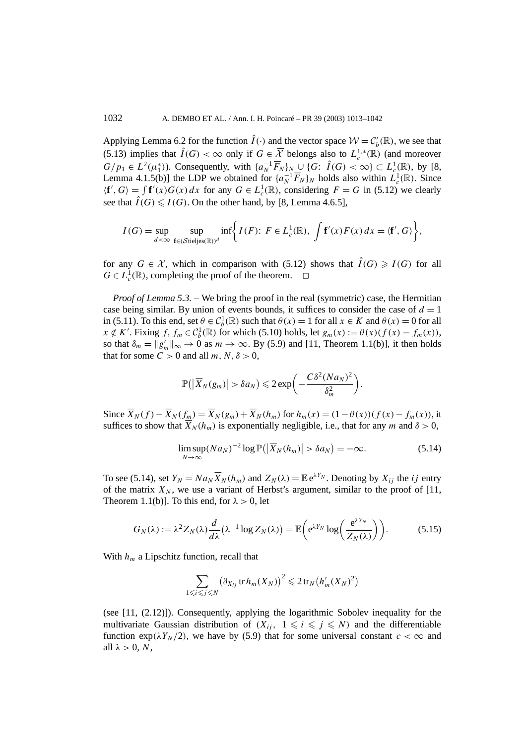Applying Lemma 6.2 for the function  $\hat{I}(\cdot)$  and the vector space  $W = C_b'(\mathbb{R})$ , we see that (5.13) implies that  $\hat{I}(G) < \infty$  only if  $G \in \overline{\mathcal{X}}$  belongs also to  $L_c^{1,*}(\mathbb{R})$  (and moreover *G/p*<sub>1</sub> ∈  $L^2(\mu_1^*)$ ). Consequently, with  $\{a_N^{-1}\overline{F}_N\}_{N}$  ∪  $\{G: \hat{I}(G) < \infty\} \subset L_c^1(\mathbb{R})$ , by [8, Lemma 4.1.5(b)] the LDP we obtained for  $\{a_N^{-1}\overline{F}_N\}_N$  holds also within  $L_c^1(\mathbb{R})$ . Since  $\langle \mathbf{f}', G \rangle = \int \mathbf{f}'(x)G(x) dx$  for any  $G \in L_c^1(\mathbb{R})$ , considering  $F = G$  in (5.12) we clearly see that  $\hat{I}(G) \leq I(G)$ . On the other hand, by [8, Lemma 4.6.5],

$$
I(G) = \sup_{d < \infty} \sup_{\mathbf{f} \in (\mathcal{S} \text{tie} \text{lies}(\mathbb{R}))^d} \inf \biggl\{ I(F) : \ F \in L_c^1(\mathbb{R}), \ \int \mathbf{f}'(x) F(x) \, dx = \langle \mathbf{f}', G \rangle \biggr\},
$$

for any  $G \in \mathcal{X}$ , which in comparison with (5.12) shows that  $\hat{I}(G) \geq I(G)$  for all  $G \in L_c^1(\mathbb{R})$ , completing the proof of the theorem.  $\Box$ 

*Proof of Lemma 5.3.* – We bring the proof in the real (symmetric) case, the Hermitian case being similar. By union of events bounds, it suffices to consider the case of  $d = 1$ in (5.11). To this end, set  $\theta \in C_b^1(\mathbb{R})$  such that  $\theta(x) = 1$  for all  $x \in K$  and  $\theta(x) = 0$  for all  $x \notin K'$ . Fixing  $f, f_m \in C_b^1(\mathbb{R})$  for which (5.10) holds, let  $g_m(x) := \theta(x)(f(x) - f_m(x))$ , so that  $\delta_m = ||g'_m||_{\infty} \to 0$  as  $m \to \infty$ . By (5.9) and [11, Theorem 1.1(b)], it then holds that for some  $C > 0$  and all  $m, N, \delta > 0$ ,

$$
\mathbb{P}(|\overline{X}_N(g_m)| > \delta a_N) \leq 2 \exp \bigg(-\frac{C \delta^2 (Na_N)^2}{\delta_m^2}\bigg).
$$

Since  $\overline{X}_N(f) - \overline{X}_N(f_m) = \overline{X}_N(g_m) + \overline{X}_N(h_m)$  for  $h_m(x) = (1 - \theta(x))(f(x) - f_m(x))$ , it suffices to show that  $\overline{X}_N(h_m)$  is exponentially negligible, i.e., that for any *m* and  $\delta > 0$ ,

$$
\limsup_{N \to \infty} (N a_N)^{-2} \log \mathbb{P}(|\overline{X}_N(h_m)| > \delta a_N) = -\infty.
$$
 (5.14)

To see (5.14), set  $Y_N = Na_N \overline{X}_N(h_m)$  and  $Z_N(\lambda) = \mathbb{E} e^{\lambda Y_N}$ . Denoting by  $X_{ij}$  the *ij* entry of the matrix  $X_N$ , we use a variant of Herbst's argument, similar to the proof of [11, Theorem 1.1(b)]. To this end, for  $\lambda > 0$ , let

$$
G_N(\lambda) := \lambda^2 Z_N(\lambda) \frac{d}{d\lambda} (\lambda^{-1} \log Z_N(\lambda)) = \mathbb{E}\left(e^{\lambda Y_N} \log\left(\frac{e^{\lambda Y_N}}{Z_N(\lambda)}\right)\right).
$$
 (5.15)

With  $h_m$  a Lipschitz function, recall that

$$
\sum_{1 \leq i \leq j \leq N} \left( \partial_{X_{ij}} \operatorname{tr} h_m(X_N) \right)^2 \leq 2 \operatorname{tr}_N \left( h'_m(X_N)^2 \right)
$$

(see [11, (2.12)]). Consequently, applying the logarithmic Sobolev inequality for the multivariate Gaussian distribution of  $(X_{ii}, 1 \leq i \leq j \leq N)$  and the differentiable function  $\exp(\lambda Y_N/2)$ , we have by (5.9) that for some universal constant  $c < \infty$  and all  $\lambda > 0$ , *N*,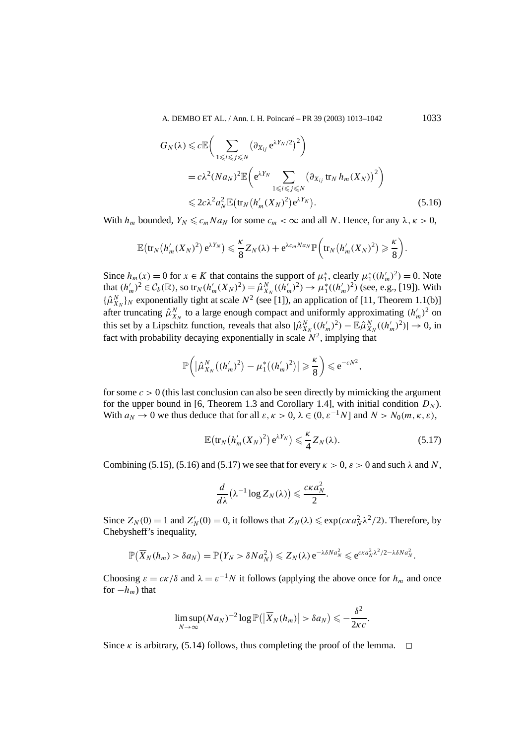A. DEMBO ET AL. / Ann. I. H. Poincaré – PR 39 (2003) 1013–1042 1033

$$
G_N(\lambda) \leq c \mathbb{E}\Big(\sum_{1 \leq i \leq j \leq N} \left(\partial_{X_{ij}} e^{\lambda Y_N/2}\right)^2\Big) = c\lambda^2 (Na_N)^2 \mathbb{E}\Big(e^{\lambda Y_N} \sum_{1 \leq i \leq j \leq N} \left(\partial_{X_{ij}} \text{tr}_N h_m(X_N)\right)^2\Big) \leq 2c\lambda^2 a_N^2 \mathbb{E}\big(\text{tr}_N \big(h'_m(X_N)^2\big)e^{\lambda Y_N}\big).
$$
\n(5.16)

With  $h_m$  bounded,  $Y_N \leq c_m N a_N$  for some  $c_m < \infty$  and all N. Hence, for any  $\lambda, \kappa > 0$ ,

$$
\mathbb{E}\left(\operatorname{tr}_N\left(h'_m(X_N)^2\right) e^{\lambda Y_N}\right) \leqslant \frac{\kappa}{8} Z_N(\lambda) + e^{\lambda c_m N a_N} \mathbb{P}\left(\operatorname{tr}_N\left(h'_m(X_N)^2\right) \geqslant \frac{\kappa}{8}\right).
$$

Since  $h_m(x) = 0$  for  $x \in K$  that contains the support of  $\mu_1^*$ , clearly  $\mu_1^*( (h'_m)^2) = 0$ . Note that  $(h'_m)^2 \in C_b(\mathbb{R})$ , so  $tr_N(h'_m(X_N)^2) = \hat{\mu}_{X_N}^N((h'_m)^2) \to \mu_1^*((h'_m)^2)$  (see, e.g., [19]). With  ${\{\hat{\mu}_{X_N}^N\}}_N$  exponentially tight at scale  $N^2$  (see [1]), an application of [11, Theorem 1.1(b)] after truncating  $\hat{\mu}_{X_N}^N$  to a large enough compact and uniformly approximating  $(h'_m)^2$  on this set by a Lipschitz function, reveals that also  $|\hat{\mu}_{X_N}^N((h'_m)^2) - \mathbb{E} \hat{\mu}_{X_N}^N((h'_m)^2)| \to 0$ , in fact with probability decaying exponentially in scale  $N^2$ , implying that

$$
\mathbb{P}\bigg(\big|\hat{\mu}_{X_N}^N\big((h_m')^2\big)-\mu_1^*\big((h_m')^2\big)\big|\geqslant \frac{\kappa}{8}\bigg)\leqslant e^{-cN^2},
$$

for some  $c > 0$  (this last conclusion can also be seen directly by mimicking the argument for the upper bound in [6, Theorem 1.3 and Corollary 1.4], with initial condition  $D<sub>N</sub>$ ). With  $a_N \to 0$  we thus deduce that for all  $\varepsilon, \kappa > 0, \lambda \in (0, \varepsilon^{-1}N]$  and  $N > N_0(m, \kappa, \varepsilon)$ ,

$$
\mathbb{E}\big(\operatorname{tr}_N\big(h'_m(X_N)^2\big) \operatorname{e}^{\lambda Y_N}\big) \leqslant \frac{\kappa}{4} Z_N(\lambda). \tag{5.17}
$$

Combining (5.15), (5.16) and (5.17) we see that for every  $\kappa > 0$ ,  $\varepsilon > 0$  and such  $\lambda$  and  $N$ ,

$$
\frac{d}{d\lambda}(\lambda^{-1}\log Z_N(\lambda))\leqslant \frac{c\kappa a_N^2}{2}.
$$

Since  $Z_N(0) = 1$  and  $Z'_N(0) = 0$ , it follows that  $Z_N(\lambda) \leq \exp(c\kappa a_N^2 \lambda^2/2)$ . Therefore, by Chebysheff's inequality,

$$
\mathbb{P}(\overline{X}_N(h_m) > \delta a_N) = \mathbb{P}(Y_N > \delta N a_N^2) \leq Z_N(\lambda) e^{-\lambda \delta N a_N^2} \leq e^{c \kappa a_N^2 \lambda^2 / 2 - \lambda \delta N a_N^2}.
$$

Choosing  $\varepsilon = c\kappa/\delta$  and  $\lambda = \varepsilon^{-1}N$  it follows (applying the above once for  $h_m$  and once for  $-h_m$ ) that

$$
\limsup_{N\to\infty} (Na_N)^{-2} \log \mathbb{P}(|\overline{X}_N(h_m)| > \delta a_N) \leqslant -\frac{\delta^2}{2\kappa c}.
$$

Since  $\kappa$  is arbitrary, (5.14) follows, thus completing the proof of the lemma.  $\Box$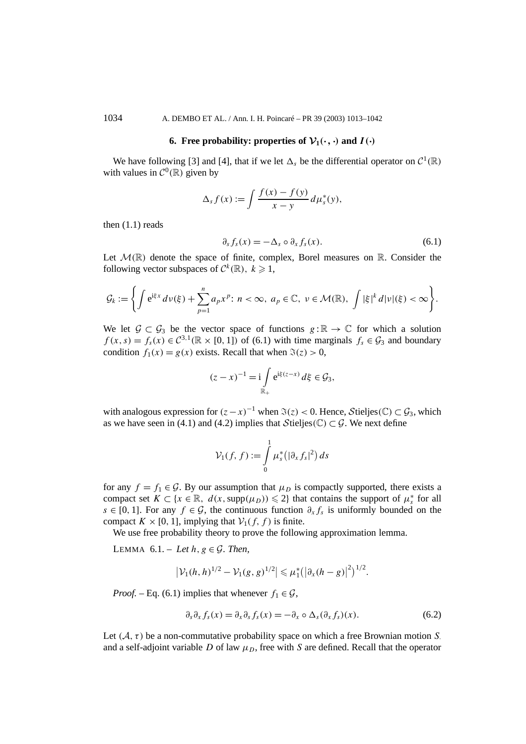1034 A. DEMBO ET AL. / Ann. I. H. Poincaré – PR 39 (2003) 1013–1042

## **6. Free probability: properties of**  $\mathcal{V}_1(\cdot, \cdot)$  **and**  $I(\cdot)$

We have following [3] and [4], that if we let  $\Delta_s$  be the differential operator on  $C^1(\mathbb{R})$ with values in  $C^0(\mathbb{R})$  given by

$$
\Delta_s f(x) := \int \frac{f(x) - f(y)}{x - y} d\mu_s^*(y),
$$

then  $(1.1)$  reads

$$
\partial_s f_s(x) = -\Delta_s \circ \partial_x f_s(x). \tag{6.1}
$$

Let  $\mathcal{M}(\mathbb{R})$  denote the space of finite, complex, Borel measures on  $\mathbb{R}$ . Consider the following vector subspaces of  $C^k(\mathbb{R})$ ,  $k \geq 1$ ,

$$
\mathcal{G}_k:=\bigg\{\int e^{i\xi x} d\nu(\xi)+\sum_{p=1}^n a_p x^p\colon n<\infty,\ a_p\in\mathbb{C},\ \nu\in\mathcal{M}(\mathbb{R}),\ \int |\xi|^k d|\nu|(\xi)<\infty\bigg\}.
$$

We let  $\mathcal{G} \subset \mathcal{G}_3$  be the vector space of functions  $g : \mathbb{R} \to \mathbb{C}$  for which a solution  $f(x, s) = f_s(x) \in C^{3,1}(\mathbb{R} \times [0, 1])$  of (6.1) with time marginals  $f_s \in \mathcal{G}_3$  and boundary condition  $f_1(x) = g(x)$  exists. Recall that when  $\Im(z) > 0$ ,

$$
(z-x)^{-1} = i \int\limits_{\mathbb{R}_+} e^{i\xi(z-x)} d\xi \in \mathcal{G}_3,
$$

with analogous expression for  $(z-x)^{-1}$  when  $\Im(z) < 0$ . Hence, Stieljes $(\mathbb{C}) \subset \mathcal{G}_3$ , which as we have seen in (4.1) and (4.2) implies that  $\mathcal{S}$ tieljes $(\mathbb{C}) \subset \mathcal{G}$ . We next define

$$
\mathcal{V}_1(f,f) := \int\limits_0^1 \mu_s^* \big( |\partial_x f_s|^2 \big) \, ds
$$

for any  $f = f_1 \in \mathcal{G}$ . By our assumption that  $\mu_D$  is compactly supported, there exists a compact set  $K \subset \{x \in \mathbb{R}, d(x, \text{supp}(\mu_D)) \leq 2\}$  that contains the support of  $\mu_s^*$  for all *s* ∈ [0, 1]. For any *f* ∈ G, the continuous function  $\partial_x f_s$  is uniformly bounded on the compact  $K \times [0, 1]$ , implying that  $\mathcal{V}_1(f, f)$  is finite.

We use free probability theory to prove the following approximation lemma.

LEMMA  $6.1. - Let h, g \in \mathcal{G}$ . Then,

$$
|\mathcal{V}_1(h,h)^{1/2}-\mathcal{V}_1(g,g)^{1/2}| \leq \mu_1^* (|\partial_x(h-g)|^2)^{1/2}.
$$

*Proof.* – Eq. (6.1) implies that whenever  $f_1 \in \mathcal{G}$ ,

$$
\partial_s \partial_x f_s(x) = \partial_x \partial_s f_s(x) = -\partial_x \circ \Delta_s (\partial_x f_s)(x). \tag{6.2}
$$

Let  $(A, \tau)$  be a non-commutative probability space on which a free Brownian motion *S*. and a self-adjoint variable *D* of law  $\mu_D$ , free with *S* are defined. Recall that the operator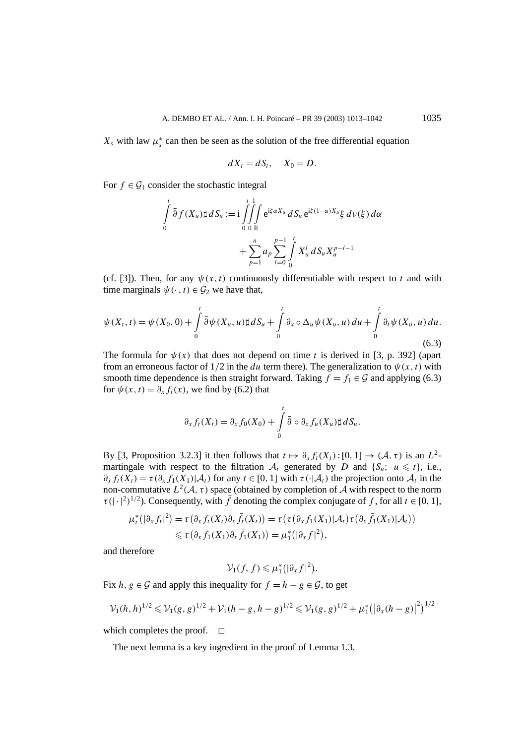$X_s$  with law  $\mu_s^*$  can then be seen as the solution of the free differential equation

$$
dX_t = dS_t, \quad X_0 = D.
$$

For  $f \in \mathcal{G}_1$  consider the stochastic integral

$$
\int_{0}^{t} \bar{\partial} f(X_{u}) \sharp dS_{u} := i \iiint_{0}^{t} \int_{0}^{1} e^{i\xi \alpha X_{u}} dS_{u} e^{i\xi (1-\alpha)X_{u}} \xi d\nu(\xi) d\alpha \n+ \sum_{p=1}^{n} a_{p} \sum_{l=0}^{p-1} \int_{0}^{t} X_{u}^{l} dS_{u} X_{u}^{p-l-1}
$$

(cf. [3]). Then, for any  $\psi(x, t)$  continuously differentiable with respect to *t* and with time marginals  $\psi(\cdot, t) \in \mathcal{G}_2$  we have that,

$$
\psi(X_t, t) = \psi(X_0, 0) + \int_0^t \bar{\partial}\psi(X_u, u) \sharp dS_u + \int_0^t \partial_x \circ \Delta_u \psi(X_u, u) du + \int_0^t \partial_t \psi(X_u, u) du.
$$
\n(6.3)

The formula for  $\psi(x)$  that does not depend on time *t* is derived in [3, p. 392] (apart from an erroneous factor of  $1/2$  in the *du* term there). The generalization to  $\psi(x, t)$  with smooth time dependence is then straight forward. Taking  $f = f_1 \in \mathcal{G}$  and applying (6.3) for  $\psi(x, t) = \partial_x f_t(x)$ , we find by (6.2) that

$$
\partial_x f_t(X_t) = \partial_x f_0(X_0) + \int_0^t \bar{\partial} \circ \partial_x f_u(X_u) \sharp dS_u.
$$

By [3, Proposition 3.2.3] it then follows that  $t \mapsto \partial_x f_t(X_t) : [0, 1] \to (\mathcal{A}, \tau)$  is an  $L^2$ martingale with respect to the filtration  $A_t$  generated by *D* and {*S<sub>u</sub>*;  $u \le t$ }, i.e.,  $\partial_x f_t(X_t) = \tau(\partial_x f_1(X_1) | \mathcal{A}_t)$  for any  $t \in [0, 1]$  with  $\tau(\cdot | \mathcal{A}_t)$  the projection onto  $\mathcal{A}_t$  in the non-commutative  $L^2(\mathcal{A}, \tau)$  space (obtained by completion of  $\mathcal A$  with respect to the norm  $\tau$ (|·|<sup>2</sup>)<sup>1/2</sup>). Consequently, with *f* denoting the complex conjugate of *f*, for all *t* ∈ [0, 1],

$$
\mu_t^* (|\partial_x f_t|^2) = \tau (\partial_x f_t(X_t) \partial_x \bar{f}_t(X_t)) = \tau (\tau (\partial_x f_1(X_1) | \mathcal{A}_t) \tau (\partial_x \bar{f}_1(X_1) | \mathcal{A}_t))
$$
  
\$\leq \tau (\partial\_x f\_1(X\_1) \partial\_x \bar{f}\_1(X\_1)) = \mu\_1^\* (|\partial\_x f|^2),\$

and therefore

$$
\mathcal{V}_1(f,f)\leqslant \mu_1^*\big(|\partial_x f|^2\big).
$$

Fix  $h, g \in \mathcal{G}$  and apply this inequality for  $f = h - g \in \mathcal{G}$ , to get

$$
\mathcal{V}_1(h,h)^{1/2} \leq \mathcal{V}_1(g,g)^{1/2} + \mathcal{V}_1(h-g,h-g)^{1/2} \leq \mathcal{V}_1(g,g)^{1/2} + \mu_1^* (|\partial_x(h-g)|^2)^{1/2}
$$

which completes the proof.  $\square$ 

The next lemma is a key ingredient in the proof of Lemma 1.3.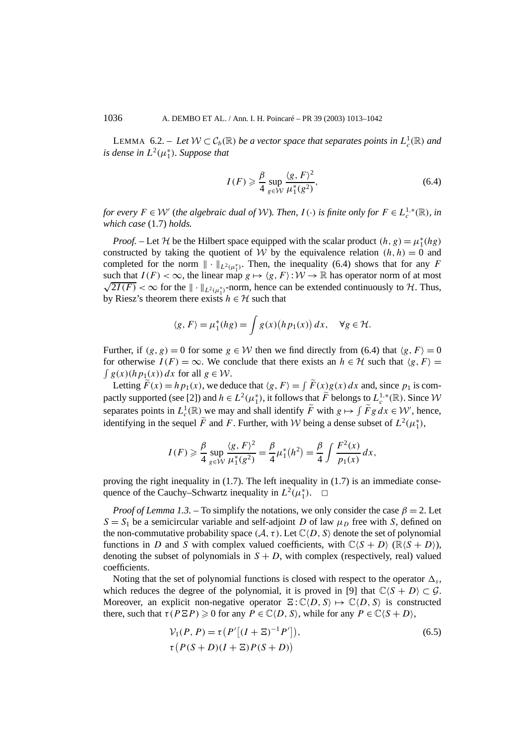LEMMA 6.2. – Let  $W \subset C_b(\mathbb{R})$  be a vector space that separates points in  $L_c^1(\mathbb{R})$  and *is dense in*  $L^2(\mu_1^*)$ *. Suppose that* 

$$
I(F) \geq \frac{\beta}{4} \sup_{g \in \mathcal{W}} \frac{\langle g, F \rangle^2}{\mu_1^*(g^2)},\tag{6.4}
$$

*for every*  $F \in \mathcal{W}'$  (*the algebraic dual of*  $\mathcal{W}$ *). Then,*  $I(\cdot)$  *is finite only for*  $F \in L_c^{1,*}(\mathbb{R})$ *, in which case* (1.7) *holds.*

*Proof.* – Let H be the Hilbert space equipped with the scalar product  $(h, g) = \mu_1^*(hg)$ constructed by taking the quotient of W by the equivalence relation  $(h, h) = 0$  and completed for the norm  $\|\cdot\|_{L^2(\mu_1^*)}$ . Then, the inequality (6.4) shows that for any *F* such that  $I(F) < \infty$ , the linear map  $g \mapsto \langle g, F \rangle : \mathcal{W} \to \mathbb{R}$  has operator norm of at most such that  $I(F) < \infty$ , the linear map  $g \mapsto \langle g, F \rangle : VV \to \mathbb{R}$  has operator norm of at most  $\sqrt{2I(F)} < \infty$  for the  $\|\cdot\|_{L^2(\mu_1^*)}$ -norm, hence can be extended continuously to *H*. Thus, by Riesz's theorem there exists  $h \in H$  such that

$$
\langle g, F \rangle = \mu_1^*(hg) = \int g(x) (h p_1(x)) dx, \quad \forall g \in \mathcal{H}.
$$

Further, if  $(g, g) = 0$  for some  $g \in W$  then we find directly from (6.4) that  $\langle g, F \rangle = 0$ for otherwise  $I(F) = \infty$ . We conclude that there exists an  $h \in H$  such that  $\langle g, F \rangle =$  $\int g(x)(h p_1(x)) dx$  for all  $g \in W$ .

Letting  $\widetilde{F}(x) = h p_1(x)$ , we deduce that  $\langle g, F \rangle = \int \widetilde{F}(x) g(x) dx$  and, since  $p_1$  is compactly supported (see [2]) and  $h \in L^2(\mu_1^*)$ , it follows that  $\widetilde{F}$  belongs to  $L_c^{1,*}(\mathbb{R})$ . Since  $\mathcal W$ separates points in  $L_c^1(\mathbb{R})$  we may and shall identify  $\tilde{F}$  with  $g \mapsto \int \tilde{F}g \, dx \in \mathcal{W}'$ , hence, identifying in the sequel  $\tilde{F}$  and *F*. Further, with *W* being a dense subset of  $L^2(\mu_1^*)$ ,

$$
I(F) \geq \frac{\beta}{4} \sup_{g \in \mathcal{W}} \frac{\langle g, F \rangle^2}{\mu_1^*(g^2)} = \frac{\beta}{4} \mu_1^*(h^2) = \frac{\beta}{4} \int \frac{F^2(x)}{p_1(x)} dx,
$$

proving the right inequality in  $(1.7)$ . The left inequality in  $(1.7)$  is an immediate consequence of the Cauchy–Schwartz inequality in  $L^2(\mu_1^*)$ .  $\Box$ 

*Proof of Lemma 1.3.* – To simplify the notations, we only consider the case  $\beta = 2$ . Let  $S = S_1$  be a semicircular variable and self-adjoint *D* of law  $\mu_D$  free with *S*, defined on the non-commutative probability space  $(A, \tau)$ . Let  $\mathbb{C}(D, S)$  denote the set of polynomial functions in *D* and *S* with complex valued coefficients, with  $\mathbb{C}\langle S+D \rangle$  ( $\mathbb{R}\langle S+D \rangle$ ), denoting the subset of polynomials in  $S + D$ , with complex (respectively, real) valued coefficients.

Noting that the set of polynomial functions is closed with respect to the operator  $\Delta_{s}$ , which reduces the degree of the polynomial, it is proved in [9] that  $\mathbb{C}\langle S + D \rangle \subset \mathcal{G}$ . Moreover, an explicit non-negative operator  $\Xi: \mathbb{C}\langle D, S \rangle \mapsto \mathbb{C}\langle D, S \rangle$  is constructed there, such that  $\tau(P \Xi P) \geq 0$  for any  $P \in \mathbb{C} \langle D, S \rangle$ , while for any  $P \in \mathbb{C} \langle S + D \rangle$ ,

$$
\mathcal{V}_1(P, P) = \tau \left( P' \left[ (I + \Xi)^{-1} P' \right] \right), \tau \left( P(S + D)(I + \Xi) P(S + D) \right)
$$
\n(6.5)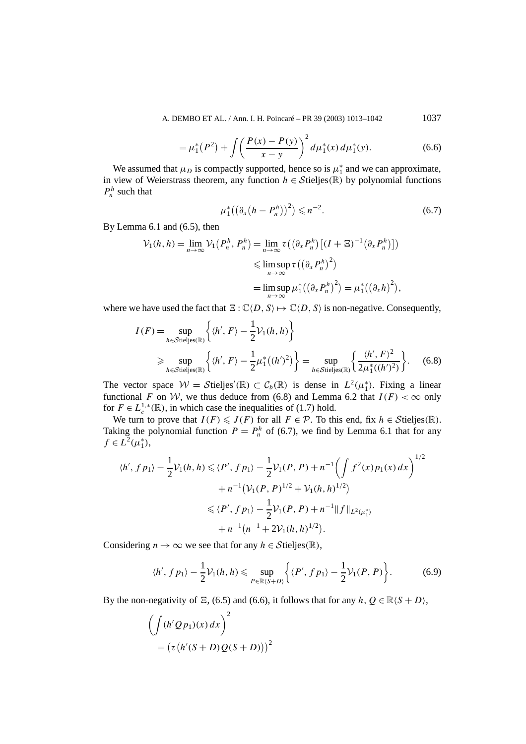A. DEMBO ET AL. / Ann. I. H. Poincaré – PR 39 (2003) 1013-1042 1037

$$
= \mu_1^*(P^2) + \int \left(\frac{P(x) - P(y)}{x - y}\right)^2 d\mu_1^*(x) d\mu_1^*(y). \tag{6.6}
$$

We assumed that  $\mu_D$  is compactly supported, hence so is  $\mu^*$  and we can approximate, in view of Weierstrass theorem, any function  $h \in \mathcal{S}$ tieljes $(\mathbb{R})$  by polynomial functions  $P_h^h$  such that

$$
\mu_1^*((\partial_x(h - P_n^h))^2) \leq n^{-2}.
$$
\n(6.7)

By Lemma 6.1 and (6.5), then

$$
\mathcal{V}_1(h, h) = \lim_{n \to \infty} \mathcal{V}_1(P_n^h, P_n^h) = \lim_{n \to \infty} \tau \left( \left( \partial_x P_n^h \right) \left[ (I + \Xi)^{-1} \left( \partial_x P_n^h \right) \right] \right)
$$
  

$$
\leq \limsup_{n \to \infty} \tau \left( \left( \partial_x P_n^h \right)^2 \right)
$$
  

$$
= \limsup_{n \to \infty} \mu_1^* \left( \left( \partial_x P_n^h \right)^2 \right) = \mu_1^* \left( \left( \partial_x h \right)^2 \right),
$$

where we have used the fact that  $E: \mathbb{C}\langle D, S \rangle \mapsto \mathbb{C}\langle D, S \rangle$  is non-negative. Consequently,

$$
I(F) = \sup_{h \in \text{Stieljes}(\mathbb{R})} \left\{ \langle h', F \rangle - \frac{1}{2} \mathcal{V}_1(h, h) \right\}
$$
  
\n
$$
\geq \sup_{h \in \text{Stieljes}(\mathbb{R})} \left\{ \langle h', F \rangle - \frac{1}{2} \mu_1^* \big( (h')^2 \big) \right\} = \sup_{h \in \text{Stieljes}(\mathbb{R})} \left\{ \frac{\langle h', F \rangle^2}{2 \mu_1^* \big( (h')^2 \big)} \right\}. \tag{6.8}
$$

The vector space  $W = \mathcal{S}$ tieljes'(R)  $\subset C_b(\mathbb{R})$  is dense in  $L^2(\mu_1^*)$ . Fixing a linear functional *F* on *W*, we thus deduce from (6.8) and Lemma 6.2 that  $I(F) < \infty$  only for  $F \in L_c^{1,*}(\mathbb{R})$ , in which case the inequalities of (1.7) hold.

We turn to prove that  $I(F) \leqslant J(F)$  for all  $F \in \mathcal{P}$ . To this end, fix  $h \in \mathcal{S}$ tieljes $(\mathbb{R})$ . Taking the polynomial function  $P = P_h^h$  of (6.7), we find by Lemma 6.1 that for any  $f ∈ L<sup>2</sup>(μ<sub>1</sub><sup>*</sup>),$ 

$$
\langle h', fp_1 \rangle - \frac{1}{2} \mathcal{V}_1(h, h) \le \langle P', fp_1 \rangle - \frac{1}{2} \mathcal{V}_1(P, P) + n^{-1} \left( \int f^2(x) p_1(x) dx \right)^{1/2}
$$
  
+  $n^{-1} \left( \mathcal{V}_1(P, P)^{1/2} + \mathcal{V}_1(h, h)^{1/2} \right)$   
 $\le \langle P', fp_1 \rangle - \frac{1}{2} \mathcal{V}_1(P, P) + n^{-1} ||f||_{L^2(\mu_1^*)}$   
+  $n^{-1} \left( n^{-1} + 2\mathcal{V}_1(h, h)^{1/2} \right).$ 

Considering  $n \to \infty$  we see that for any  $h \in \mathcal{S}$ tieljes $(\mathbb{R})$ ,

$$
\langle h', f p_1 \rangle - \frac{1}{2} \mathcal{V}_1(h, h) \leq \sup_{P \in \mathbb{R} \langle S + D \rangle} \left\{ \langle P', f p_1 \rangle - \frac{1}{2} \mathcal{V}_1(P, P) \right\}.
$$
 (6.9)

By the non-negativity of *E*, (6.5) and (6.6), it follows that for any  $h, Q \in \mathbb{R} \langle S + D \rangle$ ,

$$
\left(\int (h'Qp_1)(x) dx\right)^2
$$
  
=  $(\tau (h'(S+D)Q(S+D)))^2$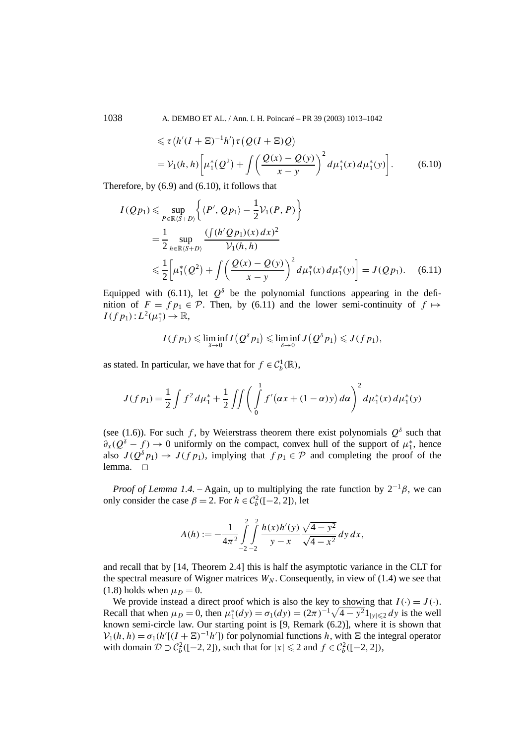1038 A. DEMBO ET AL. / Ann. I. H. Poincaré – PR 39 (2003) 1013–1042

$$
\leq \tau (h'(I + \Xi)^{-1}h')\tau (Q(I + \Xi)Q)
$$
  
=  $\mathcal{V}_1(h, h) \bigg[ \mu_1^*(Q^2) + \int \bigg( \frac{Q(x) - Q(y)}{x - y} \bigg)^2 d\mu_1^*(x) d\mu_1^*(y) \bigg].$  (6.10)

Therefore, by (6.9) and (6.10), it follows that

$$
I(Qp_1) \leq \sup_{P \in \mathbb{R}\langle S+D \rangle} \left\{ \langle P', Qp_1 \rangle - \frac{1}{2} \mathcal{V}_1(P, P) \right\}
$$
  
=  $\frac{1}{2} \sup_{h \in \mathbb{R}\langle S+D \rangle} \frac{\left( \int (h'Qp_1)(x) dx \right)^2}{\mathcal{V}_1(h, h)}$   
 $\leq \frac{1}{2} \left[ \mu_1^*(Q^2) + \int \left( \frac{Q(x) - Q(y)}{x - y} \right)^2 d\mu_1^*(x) d\mu_1^*(y) \right] = J(Qp_1).$  (6.11)

Equipped with (6.11), let  $Q^{\delta}$  be the polynomial functions appearing in the definition of  $F = fp_1 \in \mathcal{P}$ . Then, by (6.11) and the lower semi-continuity of  $f \mapsto$  $I(f p_1): L^2(\mu_1^*) \to \mathbb{R},$ 

$$
I(f p_1) \leqslant \liminf_{\delta \to 0} I(Q^{\delta} p_1) \leqslant \liminf_{\delta \to 0} J(Q^{\delta} p_1) \leqslant J(f p_1),
$$

as stated. In particular, we have that for  $f \in C_b^1(\mathbb{R})$ ,

$$
J(f p_1) = \frac{1}{2} \int f^2 d\mu_1^* + \frac{1}{2} \iint \left( \int_0^1 f'(\alpha x + (1 - \alpha)y) d\alpha \right)^2 d\mu_1^*(x) d\mu_1^*(y)
$$

(see (1.6)). For such *f*, by Weierstrass theorem there exist polynomials  $Q^{\delta}$  such that  $\partial_x(Q^\delta - f) \to 0$  uniformly on the compact, convex hull of the support of  $\mu_1^*$ , hence also  $J(Q^{\delta}p_1) \to J(fp_1)$ , implying that  $fp_1 \in \mathcal{P}$  and completing the proof of the lemma.  $\Box$ 

*Proof of Lemma 1.4.* – Again, up to multiplying the rate function by  $2^{-1}\beta$ , we can only consider the case  $\beta = 2$ . For  $h \in C_b^2([-2, 2])$ , let

$$
A(h) := -\frac{1}{4\pi^2} \int_{-2}^{2} \int_{-2}^{2} \frac{h(x)h'(y)}{y-x} \frac{\sqrt{4-y^2}}{\sqrt{4-x^2}} dy dx,
$$

and recall that by [14, Theorem 2.4] this is half the asymptotic variance in the CLT for the spectral measure of Wigner matrices  $W_N$ . Consequently, in view of (1.4) we see that  $(1.8)$  holds when  $\mu_D = 0$ .

We provide instead a direct proof which is also the key to showing that  $I(\cdot) = J(\cdot)$ . Recall that when  $\mu_D = 0$ , then  $\mu_1^*(dy) = \sigma_1(dy) = (2\pi)^{-1}\sqrt{4 - y^2}1_{|y| \le 2} dy$  is the well known semi-circle law. Our starting point is [9, Remark (6.2)], where it is shown that  $V_1(h, h) = \sigma_1(h'[(I + \Xi)^{-1}h'])$  for polynomial functions *h*, with  $\Xi$  the integral operator with domain  $\mathcal{D} \supset \mathcal{C}_b^2([-2, 2])$ , such that for  $|x| \leq 2$  and  $f \in \mathcal{C}_b^2([-2, 2])$ ,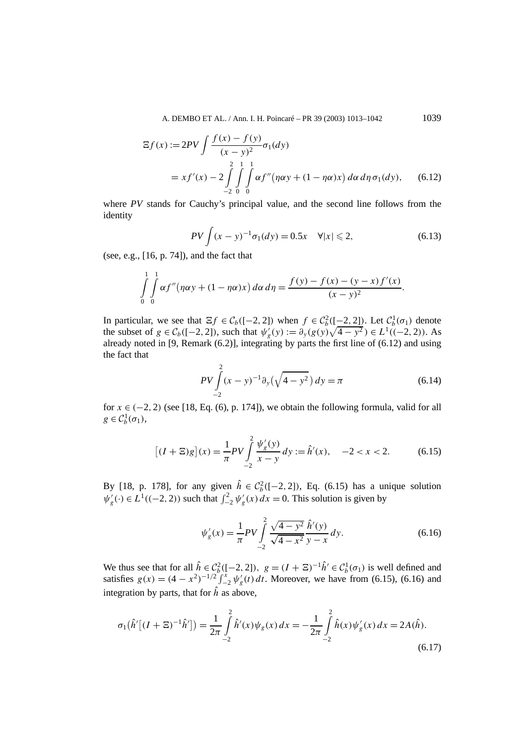A. DEMBO ET AL. / Ann. I. H. Poincaré – PR 39 (2003) 1013–1042 1039

$$
\begin{aligned} \Xi f(x) &:= 2PV \int \frac{f(x) - f(y)}{(x - y)^2} \sigma_1(dy) \\ &= x f'(x) - 2 \int_{-2}^{2} \int_{0}^{1} \int_{0}^{1} \alpha f''(\eta \alpha y + (1 - \eta \alpha)x) \, d\alpha \, d\eta \, \sigma_1(dy), \end{aligned} \tag{6.12}
$$

where *PV* stands for Cauchy's principal value, and the second line follows from the identity

$$
PV \int (x - y)^{-1} \sigma_1(dy) = 0.5x \quad \forall |x| \leq 2,
$$
 (6.13)

(see, e.g., [16, p. 74]), and the fact that

$$
\int_{0}^{1} \int_{0}^{1} \alpha f''(\eta \alpha y + (1 - \eta \alpha)x) d\alpha d\eta = \frac{f(y) - f(x) - (y - x)f'(x)}{(x - y)^2}.
$$

In particular, we see that  $\Xi f \in C_b([-2, 2])$  when  $f \in C_b^2([-2, 2])$ . Let  $C_b^1(\sigma_1)$  denote the subset of  $g \in C_b([-2, 2])$ , such that  $\psi'_g(y) := \partial_y(g(y)\sqrt{4-y^2}) \in L^1((-2, 2))$ . As already noted in [9, Remark  $(6.2)$ ], integrating by parts the first line of  $(6.12)$  and using the fact that

$$
PV \int_{-2}^{2} (x - y)^{-1} \partial_y (\sqrt{4 - y^2}) \, dy = \pi \tag{6.14}
$$

for  $x \in (-2, 2)$  (see [18, Eq. (6), p. 174]), we obtain the following formula, valid for all  $g \in C_b^1(\sigma_1)$ ,

$$
[(I + \Xi)g](x) = \frac{1}{\pi}PV \int_{-2}^{2} \frac{\psi_g'(y)}{x - y} dy := \hat{h}'(x), \quad -2 < x < 2.
$$
 (6.15)

By [18, p. 178], for any given  $\hat{h} \in C_b^2([-2, 2])$ , Eq. (6.15) has a unique solution  $\psi'_g(\cdot) \in L^1((-2, 2))$  such that  $\int_{-2}^2 \psi'_g(x) dx = 0$ . This solution is given by

$$
\psi'_{g}(x) = \frac{1}{\pi} PV \int_{-2}^{2} \frac{\sqrt{4 - y^2}}{\sqrt{4 - x^2}} \frac{\hat{h}'(y)}{y - x} dy.
$$
\n(6.16)

We thus see that for all  $\hat{h} \in C_b^2([-2, 2])$ ,  $g = (I + \Sigma)^{-1} \hat{h}' \in C_b^1(\sigma_1)$  is well defined and satisfies  $g(x) = (4 - x^2)^{-1/2} \int_{-2}^{x} \psi'_g(t) dt$ . Moreover, we have from (6.15), (6.16) and integration by parts, that for  $\hat{h}$  as above,

$$
\sigma_1(\hat{h}'[(I+\Xi)^{-1}\hat{h}']) = \frac{1}{2\pi} \int_{-2}^{2} \hat{h}'(x)\psi_g(x) dx = -\frac{1}{2\pi} \int_{-2}^{2} \hat{h}(x)\psi'_g(x) dx = 2A(\hat{h}).
$$
\n(6.17)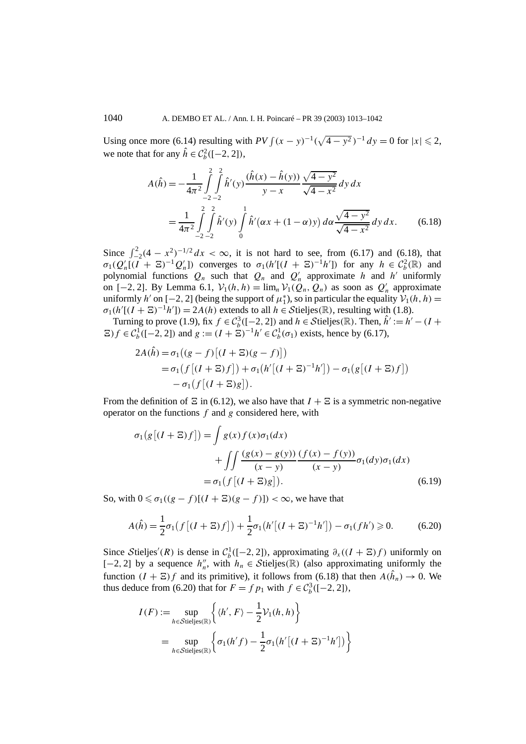Using once more (6.14) resulting with  $PV \int (x - y)^{-1} (\sqrt{4 - y^2})^{-1} dy = 0$  for  $|x| \le 2$ , we note that for any  $\hat{h} \in C_b^2([-2, 2]),$ 

$$
A(\hat{h}) = -\frac{1}{4\pi^2} \int_{-2}^{2} \int_{-2}^{2} \hat{h}'(y) \frac{(\hat{h}(x) - \hat{h}(y))}{y - x} \frac{\sqrt{4 - y^2}}{\sqrt{4 - x^2}} dy dx
$$
  
= 
$$
\frac{1}{4\pi^2} \int_{-2}^{2} \int_{-2}^{2} \hat{h}'(y) \int_{0}^{1} \hat{h}'(\alpha x + (1 - \alpha)y) d\alpha \frac{\sqrt{4 - y^2}}{\sqrt{4 - x^2}} dy dx.
$$
 (6.18)

Since  $\int_{-2}^{2} (4 - x^2)^{-1/2} dx < \infty$ , it is not hard to see, from (6.17) and (6.18), that  $\sigma_1(Q'_n[(I + \Xi)^{-1}Q'_n])$  converges to  $\sigma_1(h'[(I + \Xi)^{-1}h'])$  for any  $h \in C_b^2(\mathbb{R})$  and polynomial functions  $Q_n$  such that  $Q_n$  and  $Q'_n$  approximate *h* and *h'* uniformly on [−2, 2]. By Lemma 6.1,  $V_1(h, h) = \lim_n V_1(Q_n, Q_n)$  as soon as  $Q'_n$  approximate uniformly *h'* on [−2, 2] (being the support of  $\mu_1^*$ ), so in particular the equality  $\mathcal{V}_1(h, h)$  =  $\sigma_1(h'[(I + \Xi)^{-1}h']) = 2A(h)$  extends to all  $h \in \mathcal{S}$ tieljes $(\mathbb{R})$ , resulting with (1.8).

Turning to prove (1.9), fix  $f \in C_b^3([-2, 2])$  and  $h \in \mathcal{S}$ tieljes( $\mathbb{R}$ ). Then,  $\hat{h}' := h' - (I +$  $E(f \in C_b^1([-2, 2])$  and  $g := (I + \tilde{\Sigma})^{-1}h' \in C_b^1(\sigma_1)$  exists, hence by (6.17),

$$
2A(\hat{h}) = \sigma_1\big((g-f)\big[(I+\Xi)(g-f)\big]\big)
$$
  
=  $\sigma_1\big(f\big[(I+\Xi)f\big]\big) + \sigma_1\big(h'\big[(I+\Xi)^{-1}h'\big]\big) - \sigma_1\big(g\big[(I+\Xi)f\big]\big)$   
-  $\sigma_1\big(f\big[(I+\Xi)g\big]\big).$ 

From the definition of  $\Xi$  in (6.12), we also have that  $I + \Xi$  is a symmetric non-negative operator on the functions *f* and *g* considered here, with

$$
\sigma_1(g[(I + \Xi)f]) = \int g(x)f(x)\sigma_1(dx)
$$
  
+ 
$$
\int \int \frac{(g(x) - g(y))}{(x - y)} \frac{(f(x) - f(y))}{(x - y)} \sigma_1(dy)\sigma_1(dx)
$$
  
= 
$$
\sigma_1(f[(I + \Xi)g]). \tag{6.19}
$$

So, with  $0 \le \sigma_1((g - f)[(I + \Xi)(g - f)]) < \infty$ , we have that

$$
A(\hat{h}) = \frac{1}{2}\sigma_1(f[(I + \Xi)f]) + \frac{1}{2}\sigma_1(h'[(I + \Xi)^{-1}h']) - \sigma_1(fh') \ge 0.
$$
 (6.20)

Since Stieljes'(R) is dense in  $C_b^1([-2, 2])$ , approximating  $\partial_x((I + \Xi)f)$  uniformly on [-2, 2] by a sequence  $h''_n$ , with  $h_n \in \mathcal{S}$ tieljes( $\mathbb{R}$ ) (also approximating uniformly the function  $(I + \Xi) f$  and its primitive), it follows from (6.18) that then  $A(\hat{h}_n) \to 0$ . We thus deduce from (6.20) that for  $F = f p_1$  with  $f \in C_b^3([-2, 2])$ ,

$$
I(F) := \sup_{h \in \mathcal{S} \text{tie} \text{lies}(\mathbb{R})} \left\{ \langle h', F \rangle - \frac{1}{2} \mathcal{V}_1(h, h) \right\}
$$
  
= 
$$
\sup_{h \in \mathcal{S} \text{tie} \text{lies}(\mathbb{R})} \left\{ \sigma_1(h'f) - \frac{1}{2} \sigma_1(h'[(I + \Xi)^{-1}h']) \right\}
$$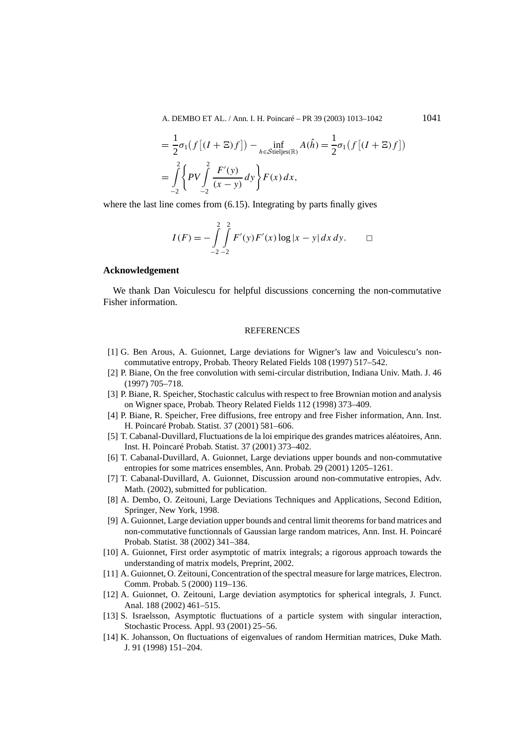A. DEMBO ET AL. / Ann. I. H. Poincaré – PR 39 (2003) 1013–1042 1041

$$
= \frac{1}{2}\sigma_1(f[(I+\Xi)f]) - \inf_{h \in \mathcal{S} \text{tie} \text{J}} A(\hat{h}) = \frac{1}{2}\sigma_1(f[(I+\Xi)f])
$$
  

$$
= \int_{-2}^{2} \left\{ PV \int_{-2}^{2} \frac{F'(y)}{(x-y)} dy \right\} F(x) dx,
$$

where the last line comes from  $(6.15)$ . Integrating by parts finally gives

$$
I(F) = -\int_{-2}^{2} \int_{-2}^{2} F'(y) F'(x) \log |x - y| dx dy.
$$

## **Acknowledgement**

We thank Dan Voiculescu for helpful discussions concerning the non-commutative Fisher information.

### **REFERENCES**

- [1] G. Ben Arous, A. Guionnet, Large deviations for Wigner's law and Voiculescu's noncommutative entropy, Probab. Theory Related Fields 108 (1997) 517–542.
- [2] P. Biane, On the free convolution with semi-circular distribution, Indiana Univ. Math. J. 46 (1997) 705–718.
- [3] P. Biane, R. Speicher, Stochastic calculus with respect to free Brownian motion and analysis on Wigner space, Probab. Theory Related Fields 112 (1998) 373–409.
- [4] P. Biane, R. Speicher, Free diffusions, free entropy and free Fisher information, Ann. Inst. H. Poincaré Probab. Statist. 37 (2001) 581–606.
- [5] T. Cabanal-Duvillard, Fluctuations de la loi empirique des grandes matrices aléatoires, Ann. Inst. H. Poincaré Probab. Statist. 37 (2001) 373–402.
- [6] T. Cabanal-Duvillard, A. Guionnet, Large deviations upper bounds and non-commutative entropies for some matrices ensembles, Ann. Probab. 29 (2001) 1205–1261.
- [7] T. Cabanal-Duvillard, A. Guionnet, Discussion around non-commutative entropies, Adv. Math. (2002), submitted for publication.
- [8] A. Dembo, O. Zeitouni, Large Deviations Techniques and Applications, Second Edition, Springer, New York, 1998.
- [9] A. Guionnet, Large deviation upper bounds and central limit theorems for band matrices and non-commutative functionnals of Gaussian large random matrices, Ann. Inst. H. Poincaré Probab. Statist. 38 (2002) 341–384.
- [10] A. Guionnet, First order asymptotic of matrix integrals; a rigorous approach towards the understanding of matrix models, Preprint, 2002.
- [11] A. Guionnet, O. Zeitouni, Concentration of the spectral measure for large matrices, Electron. Comm. Probab. 5 (2000) 119–136.
- [12] A. Guionnet, O. Zeitouni, Large deviation asymptotics for spherical integrals, J. Funct. Anal. 188 (2002) 461–515.
- [13] S. Israelsson, Asymptotic fluctuations of a particle system with singular interaction, Stochastic Process. Appl. 93 (2001) 25–56.
- [14] K. Johansson, On fluctuations of eigenvalues of random Hermitian matrices, Duke Math. J. 91 (1998) 151–204.